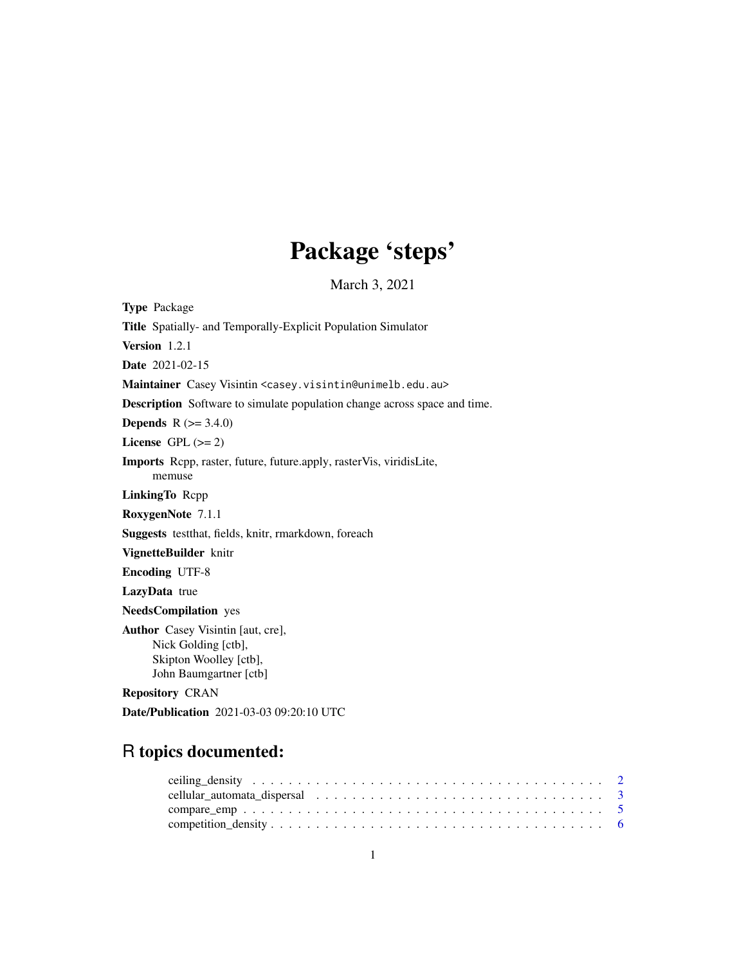## Package 'steps'

March 3, 2021

Type Package Title Spatially- and Temporally-Explicit Population Simulator Version 1.2.1 Date 2021-02-15 Maintainer Casey Visintin <casey.visintin@unimelb.edu.au> Description Software to simulate population change across space and time. **Depends** R  $(>= 3.4.0)$ License GPL  $(>= 2)$ Imports Rcpp, raster, future, future.apply, rasterVis, viridisLite, memuse LinkingTo Rcpp RoxygenNote 7.1.1 Suggests testthat, fields, knitr, rmarkdown, foreach VignetteBuilder knitr Encoding UTF-8 LazyData true NeedsCompilation yes Author Casey Visintin [aut, cre], Nick Golding [ctb], Skipton Woolley [ctb], John Baumgartner [ctb] Repository CRAN

Date/Publication 2021-03-03 09:20:10 UTC

### R topics documented: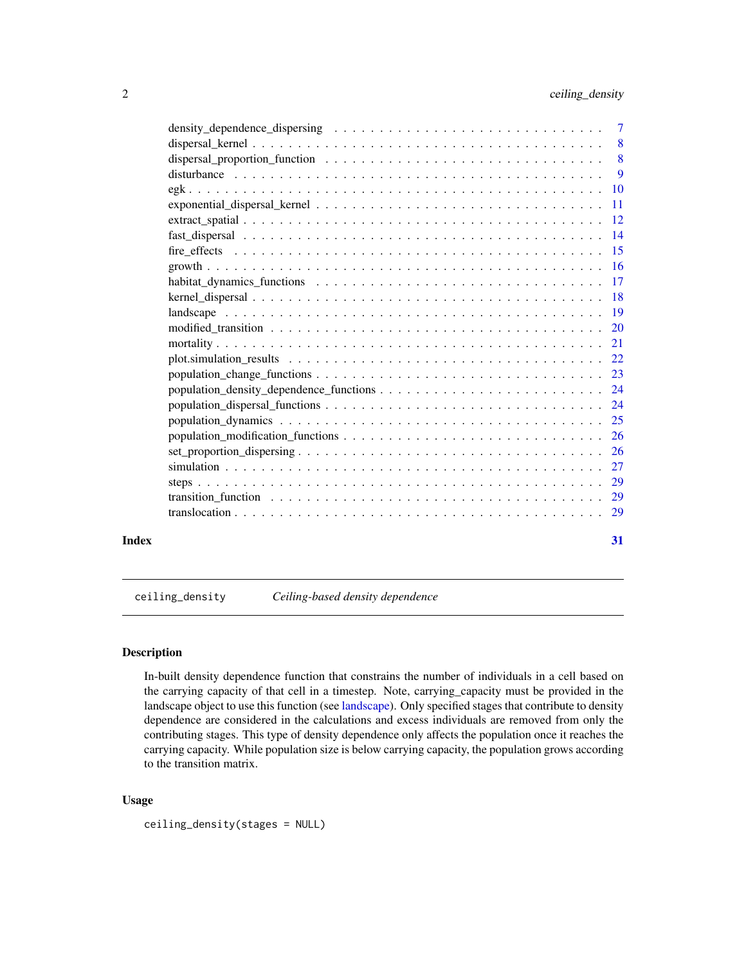<span id="page-1-0"></span>

| Index | 31 |
|-------|----|

<span id="page-1-1"></span>ceiling\_density *Ceiling-based density dependence*

#### Description

In-built density dependence function that constrains the number of individuals in a cell based on the carrying capacity of that cell in a timestep. Note, carrying\_capacity must be provided in the landscape object to use this function (see [landscape\)](#page-18-1). Only specified stages that contribute to density dependence are considered in the calculations and excess individuals are removed from only the contributing stages. This type of density dependence only affects the population once it reaches the carrying capacity. While population size is below carrying capacity, the population grows according to the transition matrix.

#### Usage

ceiling\_density(stages = NULL)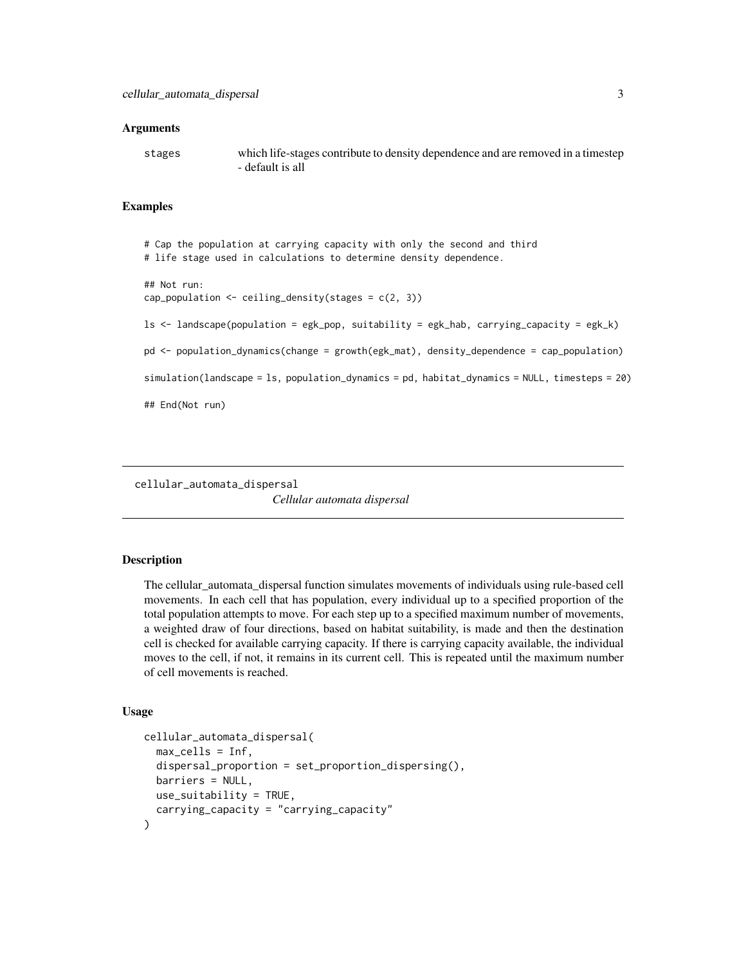#### <span id="page-2-0"></span>Arguments

stages which life-stages contribute to density dependence and are removed in a timestep - default is all

#### Examples

# Cap the population at carrying capacity with only the second and third # life stage used in calculations to determine density dependence. ## Not run: cap\_population  $\leq$  ceiling\_density(stages = c(2, 3)) ls  $\le$  landscape(population = egk\_pop, suitability = egk\_hab, carrying\_capacity = egk\_k) pd <- population\_dynamics(change = growth(egk\_mat), density\_dependence = cap\_population) simulation(landscape = ls, population\_dynamics = pd, habitat\_dynamics = NULL, timesteps = 20) ## End(Not run)

<span id="page-2-1"></span>cellular\_automata\_dispersal

*Cellular automata dispersal*

#### Description

The cellular\_automata\_dispersal function simulates movements of individuals using rule-based cell movements. In each cell that has population, every individual up to a specified proportion of the total population attempts to move. For each step up to a specified maximum number of movements, a weighted draw of four directions, based on habitat suitability, is made and then the destination cell is checked for available carrying capacity. If there is carrying capacity available, the individual moves to the cell, if not, it remains in its current cell. This is repeated until the maximum number of cell movements is reached.

#### Usage

```
cellular_automata_dispersal(
  max_{\text{cells}} = Inf,
  dispersal_proportion = set_proportion_dispersing(),
  barriers = NULL,
  use_suitability = TRUE,
  carrying_capacity = "carrying_capacity"
)
```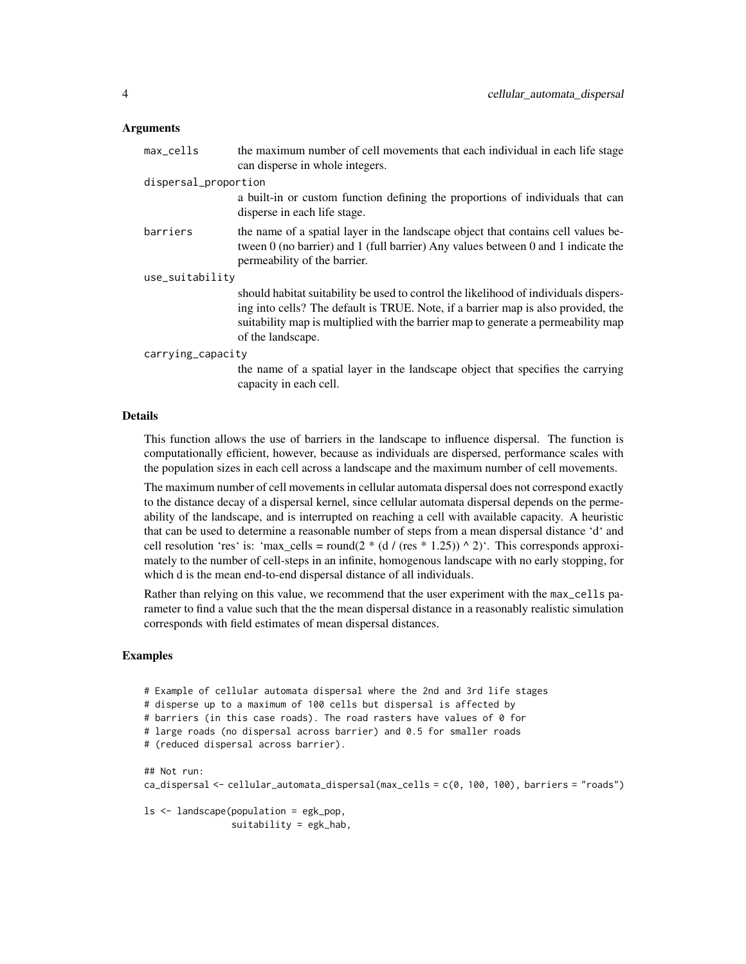#### Arguments

| max_cells            | the maximum number of cell movements that each individual in each life stage<br>can disperse in whole integers.                                                                                                                                                                     |
|----------------------|-------------------------------------------------------------------------------------------------------------------------------------------------------------------------------------------------------------------------------------------------------------------------------------|
| dispersal_proportion |                                                                                                                                                                                                                                                                                     |
|                      | a built-in or custom function defining the proportions of individuals that can<br>disperse in each life stage.                                                                                                                                                                      |
| barriers             | the name of a spatial layer in the landscape object that contains cell values be-<br>tween $0$ (no barrier) and 1 (full barrier) Any values between $0$ and 1 indicate the<br>permeability of the barrier.                                                                          |
| use_suitability      |                                                                                                                                                                                                                                                                                     |
|                      | should habitat suitability be used to control the likelihood of individuals dispers-<br>ing into cells? The default is TRUE. Note, if a barrier map is also provided, the<br>suitability map is multiplied with the barrier map to generate a permeability map<br>of the landscape. |
| carrying_capacity    |                                                                                                                                                                                                                                                                                     |
|                      | the name of a spatial layer in the landscape object that specifies the carrying<br>capacity in each cell.                                                                                                                                                                           |
|                      |                                                                                                                                                                                                                                                                                     |

#### Details

This function allows the use of barriers in the landscape to influence dispersal. The function is computationally efficient, however, because as individuals are dispersed, performance scales with the population sizes in each cell across a landscape and the maximum number of cell movements.

The maximum number of cell movements in cellular automata dispersal does not correspond exactly to the distance decay of a dispersal kernel, since cellular automata dispersal depends on the permeability of the landscape, and is interrupted on reaching a cell with available capacity. A heuristic that can be used to determine a reasonable number of steps from a mean dispersal distance 'd' and cell resolution 'res' is: 'max\_cells = round(2  $*(d / (res * 1.25))$  ^ 2)'. This corresponds approximately to the number of cell-steps in an infinite, homogenous landscape with no early stopping, for which d is the mean end-to-end dispersal distance of all individuals.

Rather than relying on this value, we recommend that the user experiment with the max\_cells parameter to find a value such that the the mean dispersal distance in a reasonably realistic simulation corresponds with field estimates of mean dispersal distances.

#### Examples

```
# Example of cellular automata dispersal where the 2nd and 3rd life stages
# disperse up to a maximum of 100 cells but dispersal is affected by
# barriers (in this case roads). The road rasters have values of 0 for
# large roads (no dispersal across barrier) and 0.5 for smaller roads
# (reduced dispersal across barrier).
## Not run:
ca_dispersal <- cellular_automata_dispersal(max_cells = c(0, 100, 100), barriers = "roads")
ls <- landscape(population = egk_pop,
                suitability = egk_hab,
```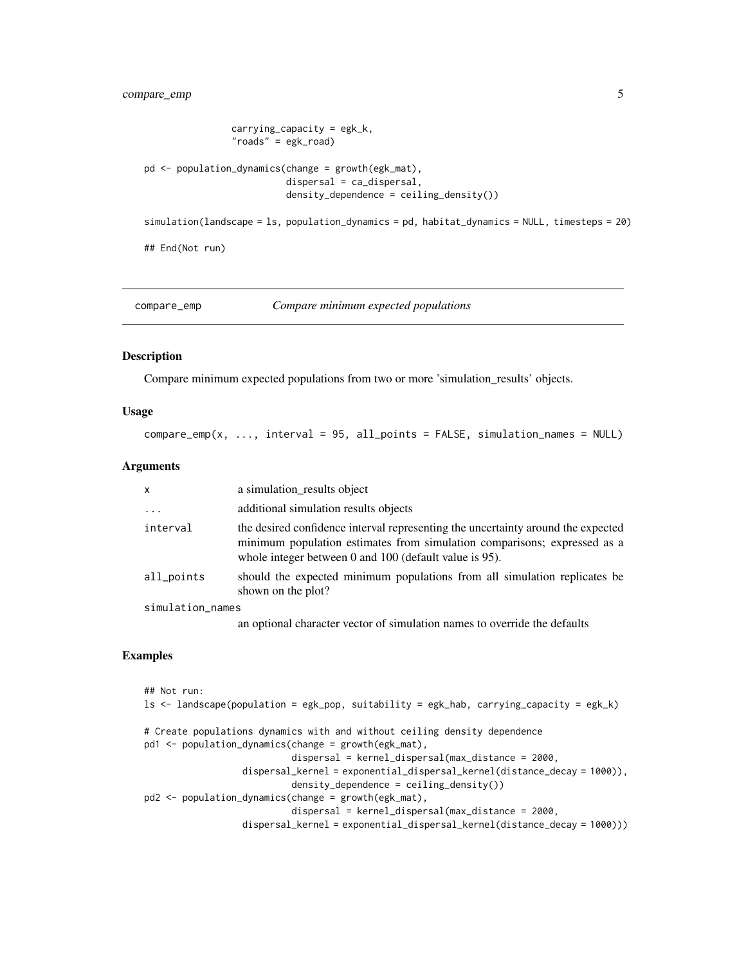```
carrying_capacity = egk_k,
                "roads" = egk_road)
pd <- population_dynamics(change = growth(egk_mat),
                          dispersal = ca_dispersal,
                          density_dependence = ceiling_density())
simulation(landscape = ls, population_dynamics = pd, habitat_dynamics = NULL, timesteps = 20)
## End(Not run)
```
compare\_emp *Compare minimum expected populations*

#### Description

Compare minimum expected populations from two or more 'simulation\_results' objects.

#### Usage

compare\_emp(x, ..., interval = 95, all\_points = FALSE, simulation\_names = NULL)

#### Arguments

| $\mathsf{x}$     | a simulation_results object                                                                                                                                                                                                                                                                                       |
|------------------|-------------------------------------------------------------------------------------------------------------------------------------------------------------------------------------------------------------------------------------------------------------------------------------------------------------------|
| $\ddotsc$        | additional simulation results objects                                                                                                                                                                                                                                                                             |
| interval         | the desired confidence interval representing the uncertainty around the expected<br>minimum population estimates from simulation comparisons; expressed as a<br>whole integer between 0 and 100 (default value is 95).                                                                                            |
| all_points       | should the expected minimum populations from all simulation replicates be<br>shown on the plot?                                                                                                                                                                                                                   |
| simulation_names |                                                                                                                                                                                                                                                                                                                   |
|                  | $\mathcal{L}$ and $\mathcal{L}$ and $\mathcal{L}$ and $\mathcal{L}$ and $\mathcal{L}$ and $\mathcal{L}$ and $\mathcal{L}$ and $\mathcal{L}$ and $\mathcal{L}$ and $\mathcal{L}$ and $\mathcal{L}$ and $\mathcal{L}$ and $\mathcal{L}$ and $\mathcal{L}$ and $\mathcal{L}$ and $\mathcal{L}$ and $\mathcal{L}$ and |

an optional character vector of simulation names to override the defaults

#### Examples

```
## Not run:
ls \le landscape(population = egk_pop, suitability = egk_hab, carrying_capacity = egk_k)
# Create populations dynamics with and without ceiling density dependence
pd1 <- population_dynamics(change = growth(egk_mat),
                           dispersal = kernel_dispersal(max_distance = 2000,
                  dispersal_kernel = exponential_dispersal_kernel(distance_decay = 1000)),
                           density_dependence = ceiling_density())
pd2 <- population_dynamics(change = growth(egk_mat),
                           dispersal = kernel_dispersal(max_distance = 2000,
                  dispersal_kernel = exponential_dispersal_kernel(distance_decay = 1000)))
```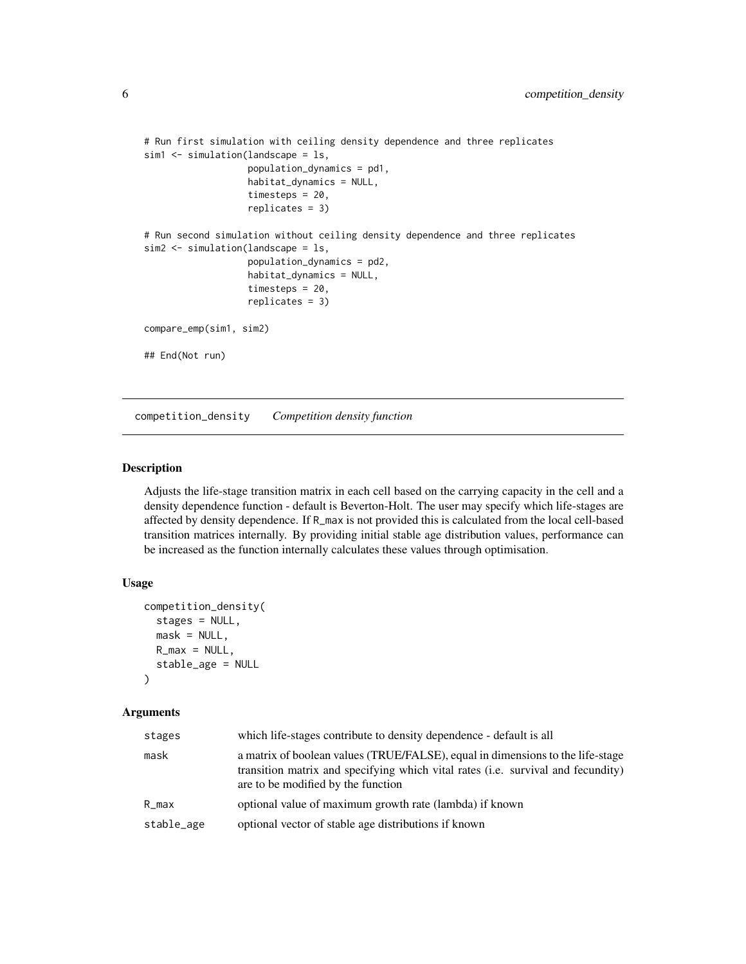```
# Run first simulation with ceiling density dependence and three replicates
sim1 <- simulation(landscape = ls,
                   population_dynamics = pd1,
                   habitat_dynamics = NULL,
                   timesteps = 20,
                   replicates = 3)
# Run second simulation without ceiling density dependence and three replicates
sim2 <- simulation(landscape = ls,
                   population_dynamics = pd2,
                   habitat_dynamics = NULL,
                   timesteps = 20,
                   replicates = 3)
compare_emp(sim1, sim2)
## End(Not run)
```
<span id="page-5-1"></span>competition\_density *Competition density function*

#### Description

Adjusts the life-stage transition matrix in each cell based on the carrying capacity in the cell and a density dependence function - default is Beverton-Holt. The user may specify which life-stages are affected by density dependence. If R\_max is not provided this is calculated from the local cell-based transition matrices internally. By providing initial stable age distribution values, performance can be increased as the function internally calculates these values through optimisation.

#### Usage

```
competition_density(
  stages = NULL,
  mask = NULL,R_{max} = NULL,
  stable_age = NULL
\lambda
```
#### Arguments

| stages     | which life-stages contribute to density dependence - default is all                                                                                                                                      |
|------------|----------------------------------------------------------------------------------------------------------------------------------------------------------------------------------------------------------|
| mask       | a matrix of boolean values (TRUE/FALSE), equal in dimensions to the life-stage<br>transition matrix and specifying which vital rates (i.e. survival and fecundity)<br>are to be modified by the function |
| $R_{max}$  | optional value of maximum growth rate (lambda) if known                                                                                                                                                  |
| stable_age | optional vector of stable age distributions if known                                                                                                                                                     |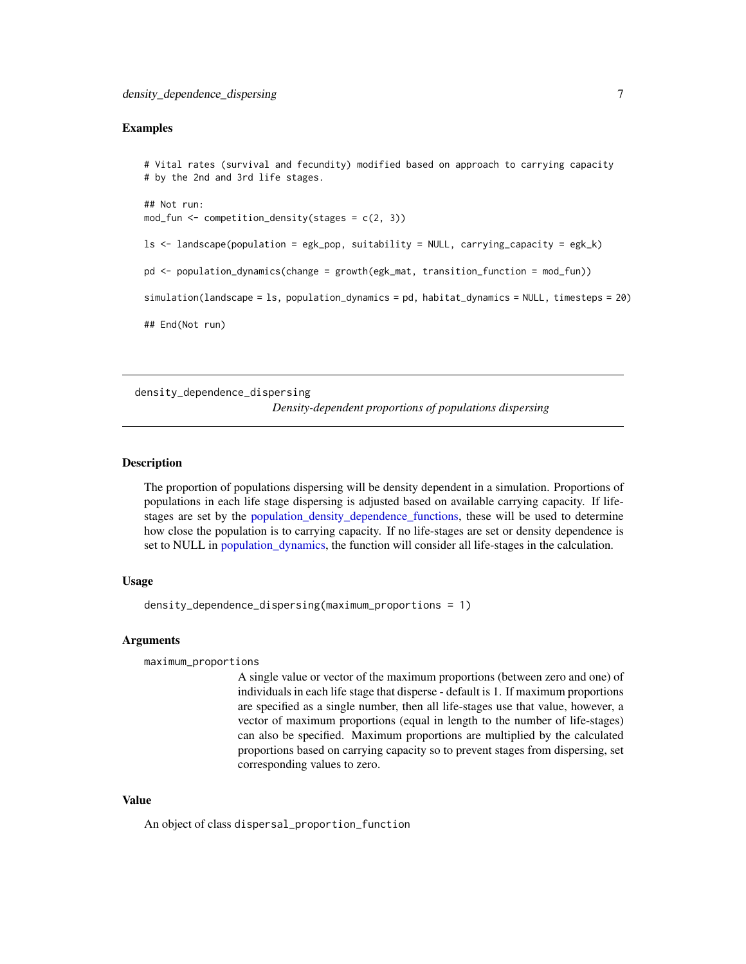#### <span id="page-6-0"></span>Examples

# Vital rates (survival and fecundity) modified based on approach to carrying capacity # by the 2nd and 3rd life stages. ## Not run: mod\_fun <- competition\_density(stages = c(2, 3))

```
ls <- landscape(population = egk_pop, suitability = NULL, carrying_capacity = egk_k)
```

```
pd <- population_dynamics(change = growth(egk_mat, transition_function = mod_fun))
```
simulation(landscape = ls, population\_dynamics = pd, habitat\_dynamics = NULL, timesteps = 20)

## End(Not run)

<span id="page-6-1"></span>density\_dependence\_dispersing

*Density-dependent proportions of populations dispersing*

#### Description

The proportion of populations dispersing will be density dependent in a simulation. Proportions of populations in each life stage dispersing is adjusted based on available carrying capacity. If lifestages are set by the [population\\_density\\_dependence\\_functions,](#page-23-1) these will be used to determine how close the population is to carrying capacity. If no life-stages are set or density dependence is set to NULL in [population\\_dynamics,](#page-24-1) the function will consider all life-stages in the calculation.

#### Usage

density\_dependence\_dispersing(maximum\_proportions = 1)

#### Arguments

#### maximum\_proportions

A single value or vector of the maximum proportions (between zero and one) of individuals in each life stage that disperse - default is 1. If maximum proportions are specified as a single number, then all life-stages use that value, however, a vector of maximum proportions (equal in length to the number of life-stages) can also be specified. Maximum proportions are multiplied by the calculated proportions based on carrying capacity so to prevent stages from dispersing, set corresponding values to zero.

#### Value

An object of class dispersal\_proportion\_function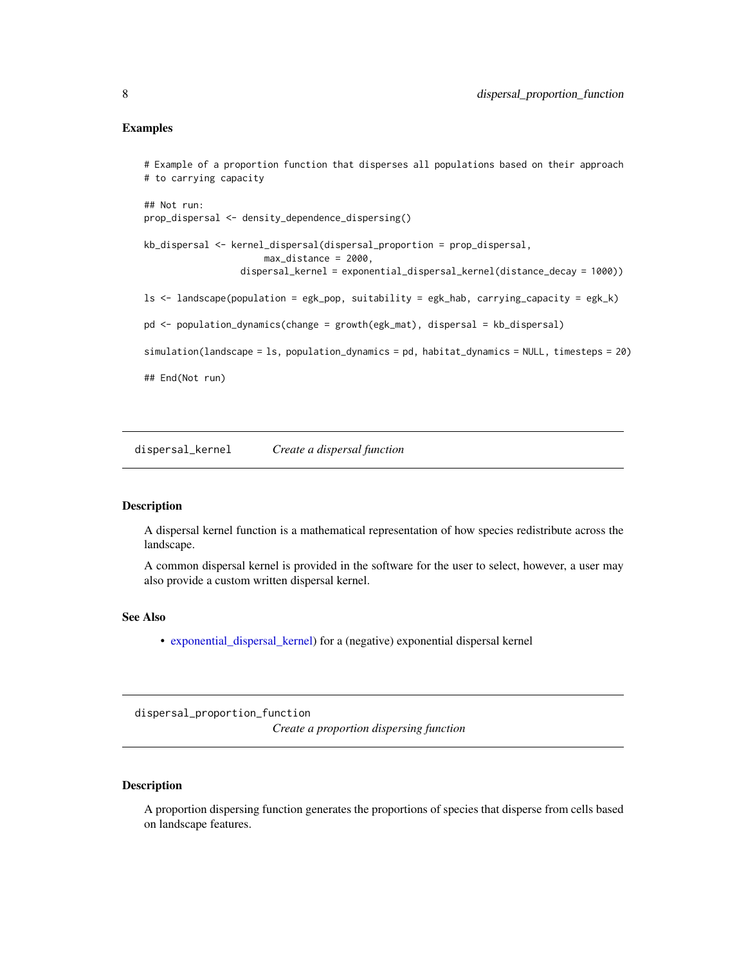#### <span id="page-7-0"></span>Examples

```
# Example of a proportion function that disperses all populations based on their approach
# to carrying capacity
## Not run:
prop_dispersal <- density_dependence_dispersing()
kb_dispersal <- kernel_dispersal(dispersal_proportion = prop_dispersal,
                      max_distance = 2000,
                 dispersal_kernel = exponential_dispersal_kernel(distance_decay = 1000))
ls \le landscape(population = egk_pop, suitability = egk_hab, carrying_capacity = egk_k)
pd <- population_dynamics(change = growth(egk_mat), dispersal = kb_dispersal)
simulation(landscape = ls, population_dynamics = pd, habitat_dynamics = NULL, timesteps = 20)
## End(Not run)
```
<span id="page-7-1"></span>dispersal\_kernel *Create a dispersal function*

#### Description

A dispersal kernel function is a mathematical representation of how species redistribute across the landscape.

A common dispersal kernel is provided in the software for the user to select, however, a user may also provide a custom written dispersal kernel.

#### See Also

• [exponential\\_dispersal\\_kernel\)](#page-10-1) for a (negative) exponential dispersal kernel

dispersal\_proportion\_function

*Create a proportion dispersing function*

#### Description

A proportion dispersing function generates the proportions of species that disperse from cells based on landscape features.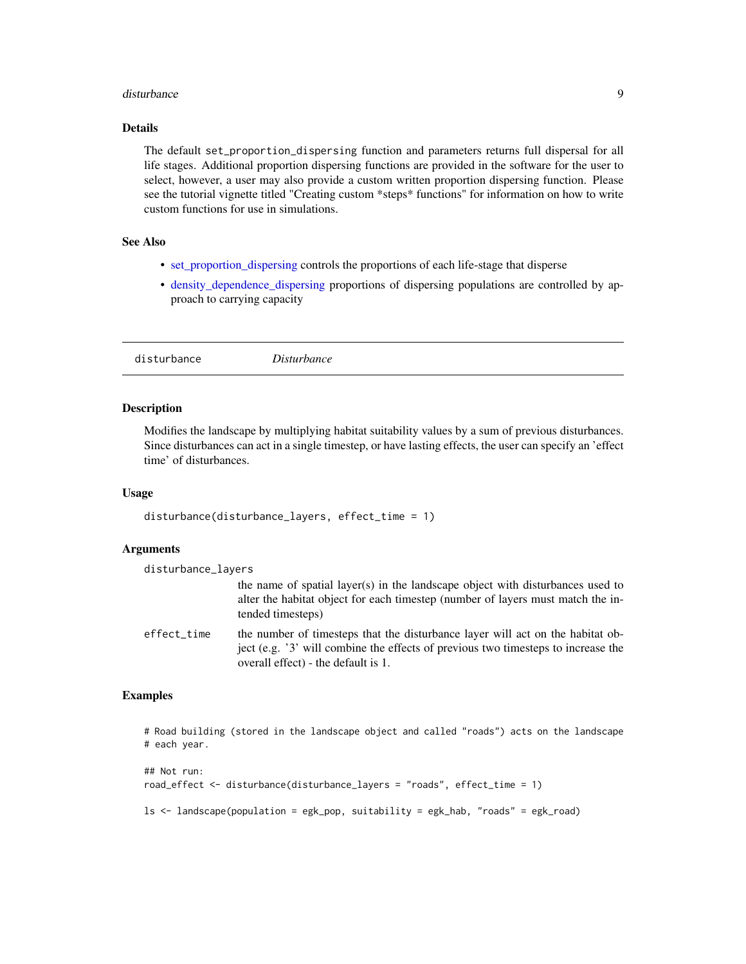#### <span id="page-8-0"></span>disturbance **9** and 1 and 1 and 1 and 1 and 1 and 1 and 1 and 1 and 1 and 1 and 1 and 1 and 1 and 1 and 1 and 1 and 1 and 1 and 1 and 1 and 1 and 1 and 1 and 1 and 1 and 1 and 1 and 1 and 1 and 1 and 1 and 1 and 1 and 1 an

#### Details

The default set\_proportion\_dispersing function and parameters returns full dispersal for all life stages. Additional proportion dispersing functions are provided in the software for the user to select, however, a user may also provide a custom written proportion dispersing function. Please see the tutorial vignette titled "Creating custom \*steps\* functions" for information on how to write custom functions for use in simulations.

#### See Also

- [set\\_proportion\\_dispersing](#page-25-1) controls the proportions of each life-stage that disperse
- [density\\_dependence\\_dispersing](#page-6-1) proportions of dispersing populations are controlled by approach to carrying capacity

<span id="page-8-1"></span>disturbance *Disturbance*

#### Description

Modifies the landscape by multiplying habitat suitability values by a sum of previous disturbances. Since disturbances can act in a single timestep, or have lasting effects, the user can specify an 'effect time' of disturbances.

#### Usage

```
disturbance(disturbance_layers, effect_time = 1)
```
#### Arguments

disturbance\_layers the name of spatial layer(s) in the landscape object with disturbances used to alter the habitat object for each timestep (number of layers must match the intended timesteps) effect\_time the number of timesteps that the disturbance layer will act on the habitat object (e.g. '3' will combine the effects of previous two timesteps to increase the overall effect) - the default is 1.

#### Examples

# Road building (stored in the landscape object and called "roads") acts on the landscape # each year.

```
## Not run:
road_effect <- disturbance(disturbance_layers = "roads", effect_time = 1)
ls <- landscape(population = egk_pop, suitability = egk_hab, "roads" = egk_road)
```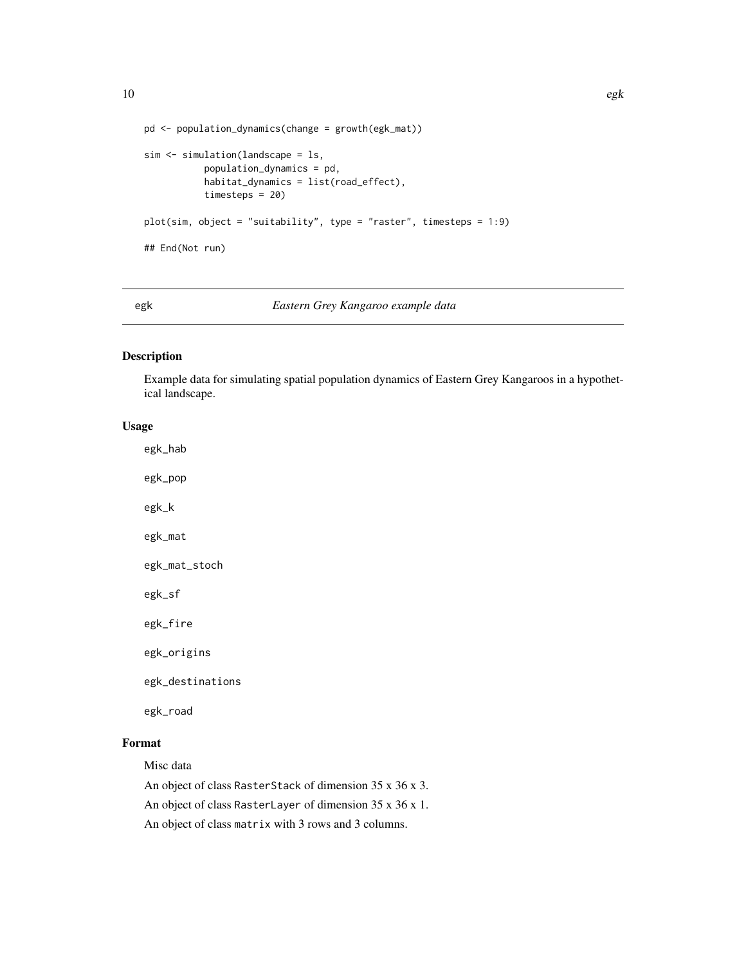```
pd <- population_dynamics(change = growth(egk_mat))
sim <- simulation(landscape = ls,
           population_dynamics = pd,
           habitat_dynamics = list(road_effect),
           timesteps = 20)
plot(sim, object = "suitability", type = "raster", timesteps = 1:9)
## End(Not run)
```
#### egk *Eastern Grey Kangaroo example data*

#### Description

Example data for simulating spatial population dynamics of Eastern Grey Kangaroos in a hypothetical landscape.

#### Usage

egk\_hab egk\_pop egk\_k egk\_mat egk\_mat\_stoch egk\_sf egk\_fire egk\_origins egk\_destinations egk\_road Format

#### Misc data

An object of class RasterStack of dimension 35 x 36 x 3. An object of class RasterLayer of dimension 35 x 36 x 1. An object of class matrix with 3 rows and 3 columns.

<span id="page-9-0"></span>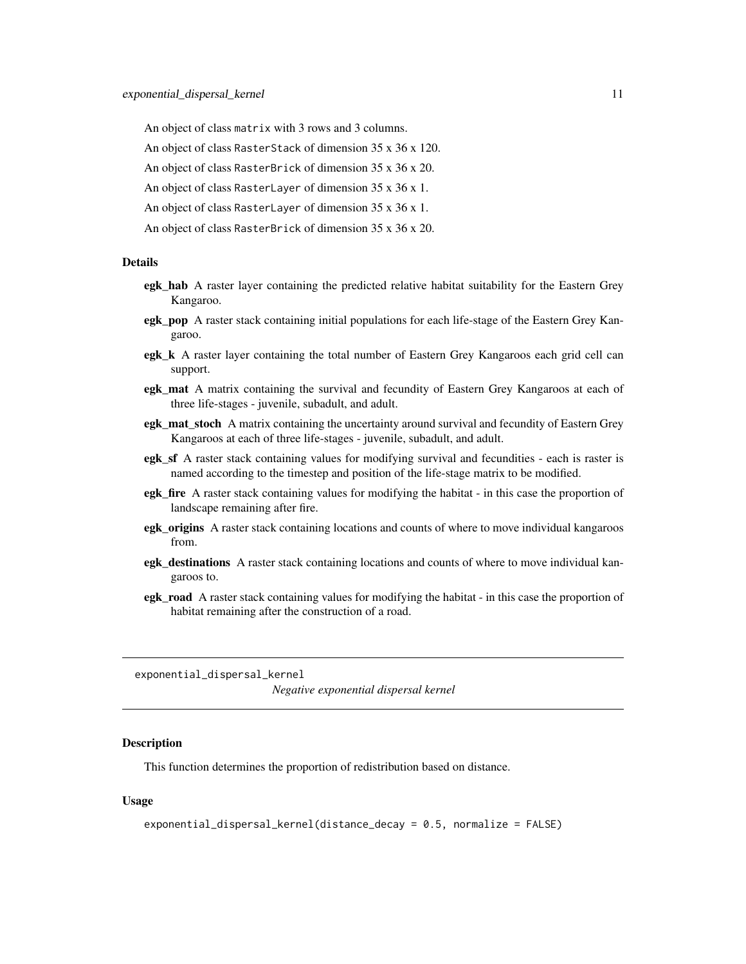<span id="page-10-0"></span>An object of class matrix with 3 rows and 3 columns.

An object of class RasterStack of dimension 35 x 36 x 120.

An object of class RasterBrick of dimension 35 x 36 x 20.

An object of class RasterLayer of dimension 35 x 36 x 1.

An object of class RasterLayer of dimension 35 x 36 x 1.

An object of class RasterBrick of dimension 35 x 36 x 20.

#### Details

- egk hab A raster layer containing the predicted relative habitat suitability for the Eastern Grey Kangaroo.
- egk\_pop A raster stack containing initial populations for each life-stage of the Eastern Grey Kangaroo.
- egk\_k A raster layer containing the total number of Eastern Grey Kangaroos each grid cell can support.
- egk\_mat A matrix containing the survival and fecundity of Eastern Grey Kangaroos at each of three life-stages - juvenile, subadult, and adult.
- egk\_mat\_stoch A matrix containing the uncertainty around survival and fecundity of Eastern Grey Kangaroos at each of three life-stages - juvenile, subadult, and adult.
- egk\_sf A raster stack containing values for modifying survival and fecundities each is raster is named according to the timestep and position of the life-stage matrix to be modified.
- egk\_fire A raster stack containing values for modifying the habitat in this case the proportion of landscape remaining after fire.
- egk\_origins A raster stack containing locations and counts of where to move individual kangaroos from.
- egk\_destinations A raster stack containing locations and counts of where to move individual kangaroos to.
- egk\_road A raster stack containing values for modifying the habitat in this case the proportion of habitat remaining after the construction of a road.

<span id="page-10-1"></span>exponential\_dispersal\_kernel

*Negative exponential dispersal kernel*

#### Description

This function determines the proportion of redistribution based on distance.

#### Usage

```
exponential_dispersal_kernel(distance_decay = 0.5, normalize = FALSE)
```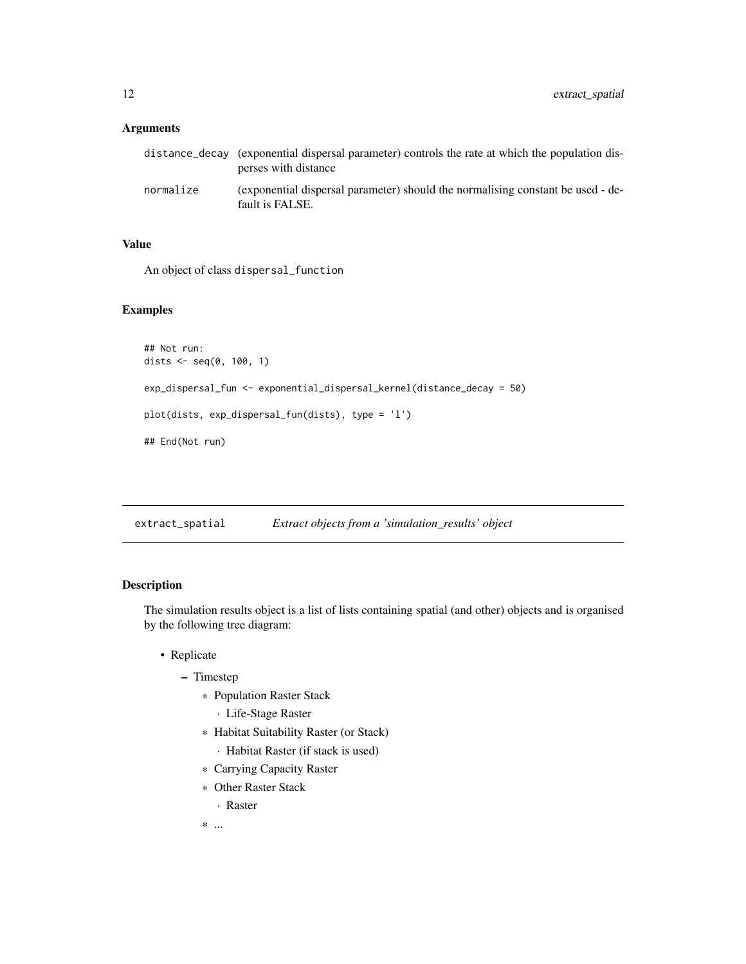#### <span id="page-11-0"></span>Arguments

|           | distance decay (exponential dispersal parameter) controls the rate at which the population dis-<br>perses with distance |
|-----------|-------------------------------------------------------------------------------------------------------------------------|
| normalize | (exponential dispersal parameter) should the normalising constant be used - de-<br>fault is FALSE.                      |

#### Value

An object of class dispersal\_function

#### Examples

```
## Not run:
dists <- seq(0, 100, 1)
exp_dispersal_fun <- exponential_dispersal_kernel(distance_decay = 50)
plot(dists, exp_dispersal_fun(dists), type = 'l')
## End(Not run)
```
extract\_spatial *Extract objects from a 'simulation\_results' object*

#### Description

The simulation results object is a list of lists containing spatial (and other) objects and is organised by the following tree diagram:

- Replicate
	- Timestep
		- \* Population Raster Stack
			- · Life-Stage Raster
		- \* Habitat Suitability Raster (or Stack)
			- · Habitat Raster (if stack is used)
		- \* Carrying Capacity Raster
		- \* Other Raster Stack
			- · Raster

\* ...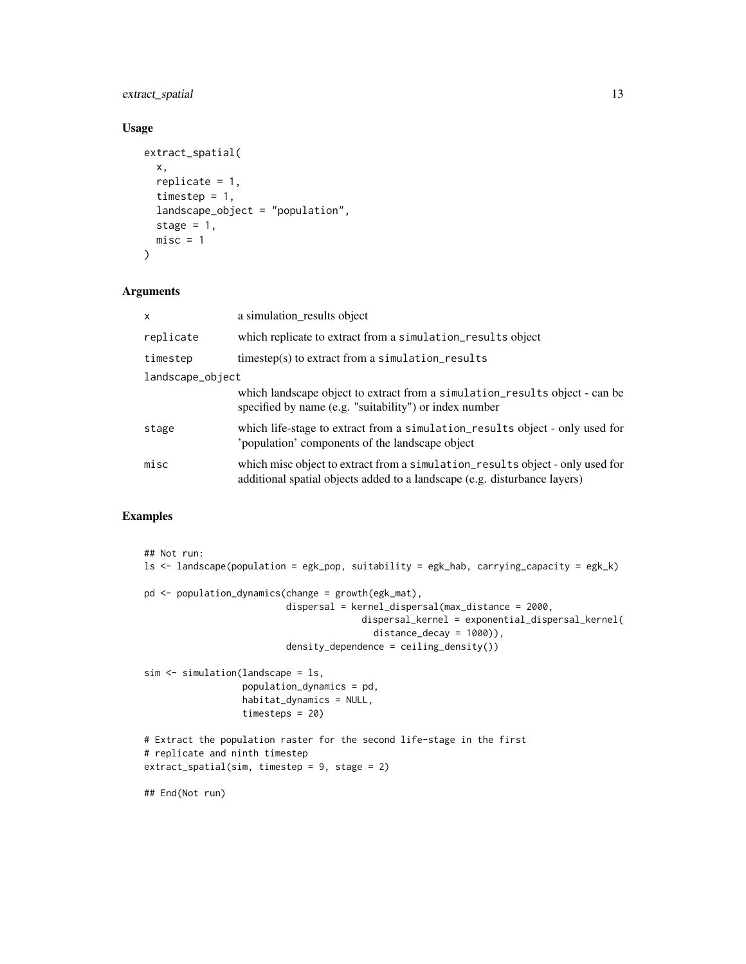#### extract\_spatial 13

#### Usage

```
extract_spatial(
  x,
  replicate = 1,
  timestep = 1,
  landscape_object = "population",
  stage = 1,
 misc = 1\lambda
```
#### Arguments

| X                | a simulation_results object                                                                                                                                |
|------------------|------------------------------------------------------------------------------------------------------------------------------------------------------------|
| replicate        | which replicate to extract from a simulation_results object                                                                                                |
| timestep         | $timestep(s)$ to extract from a simulation_results                                                                                                         |
| landscape_object |                                                                                                                                                            |
|                  | which landscape object to extract from a simulation_results object - can be<br>specified by name (e.g. "suitability") or index number                      |
| stage            | which life-stage to extract from a simulation_results object - only used for<br>'population' components of the landscape object                            |
| misc             | which misc object to extract from a simulation_results object - only used for<br>additional spatial objects added to a landscape (e.g. disturbance layers) |

#### Examples

```
## Not run:
ls <- landscape(population = egk_pop, suitability = egk_hab, carrying_capacity = egk_k)
pd <- population_dynamics(change = growth(egk_mat),
                          dispersal = kernel_dispersal(max_distance = 2000,
                                        dispersal_kernel = exponential_dispersal_kernel(
                                          distance_decay = 1000)),
                          density_dependence = ceiling_density())
sim <- simulation(landscape = ls,
                  population_dynamics = pd,
                  habitat_dynamics = NULL,
                  timesteps = 20)
# Extract the population raster for the second life-stage in the first
# replicate and ninth timestep
extract_spatial(sim, timestep = 9, stage = 2)
## End(Not run)
```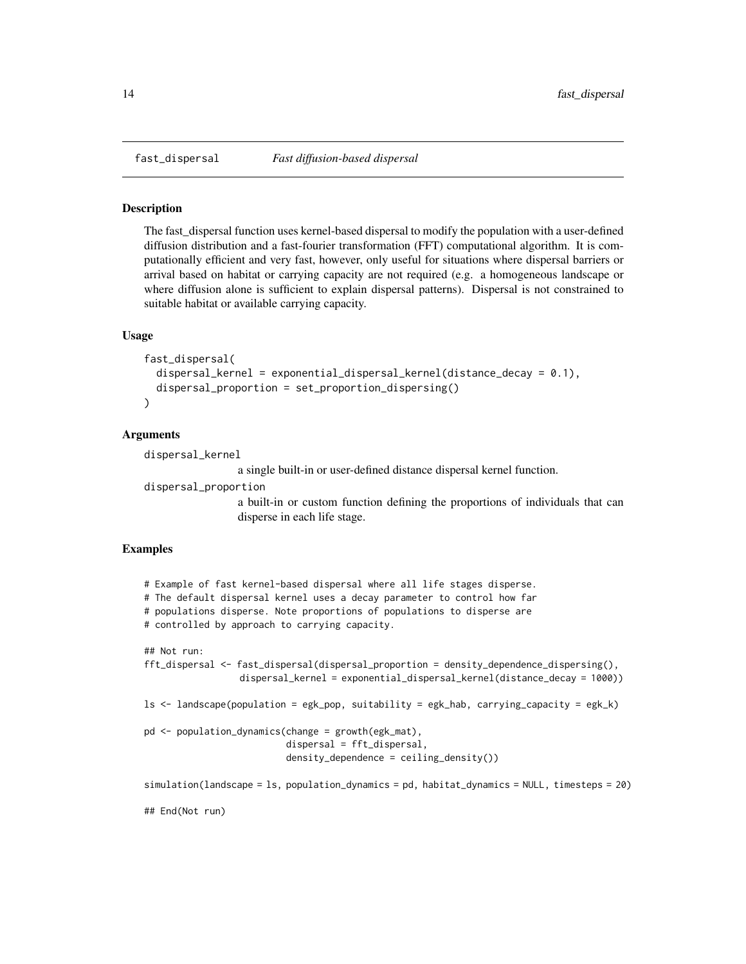<span id="page-13-1"></span><span id="page-13-0"></span>

#### Description

The fast dispersal function uses kernel-based dispersal to modify the population with a user-defined diffusion distribution and a fast-fourier transformation (FFT) computational algorithm. It is computationally efficient and very fast, however, only useful for situations where dispersal barriers or arrival based on habitat or carrying capacity are not required (e.g. a homogeneous landscape or where diffusion alone is sufficient to explain dispersal patterns). Dispersal is not constrained to suitable habitat or available carrying capacity.

#### Usage

```
fast_dispersal(
  dispersal_kernel = exponential_dispersal_kernel(distance_decay = 0.1),
  dispersal_proportion = set_proportion_dispersing()
\lambda
```
#### Arguments

dispersal\_kernel

a single built-in or user-defined distance dispersal kernel function.

dispersal\_proportion

a built-in or custom function defining the proportions of individuals that can disperse in each life stage.

#### Examples

```
# Example of fast kernel-based dispersal where all life stages disperse.
# The default dispersal kernel uses a decay parameter to control how far
# populations disperse. Note proportions of populations to disperse are
# controlled by approach to carrying capacity.
## Not run:
fft_dispersal <- fast_dispersal(dispersal_proportion = density_dependence_dispersing(),
                 dispersal_kernel = exponential_dispersal_kernel(distance_decay = 1000))
ls \le landscape(population = egk_pop, suitability = egk_hab, carrying_capacity = egk_k)
pd <- population_dynamics(change = growth(egk_mat),
                          dispersal = fft_dispersal,
                          density_dependence = ceiling_density())
simulation(landscape = ls, population_dynamics = pd, habitat_dynamics = NULL, timesteps = 20)
## End(Not run)
```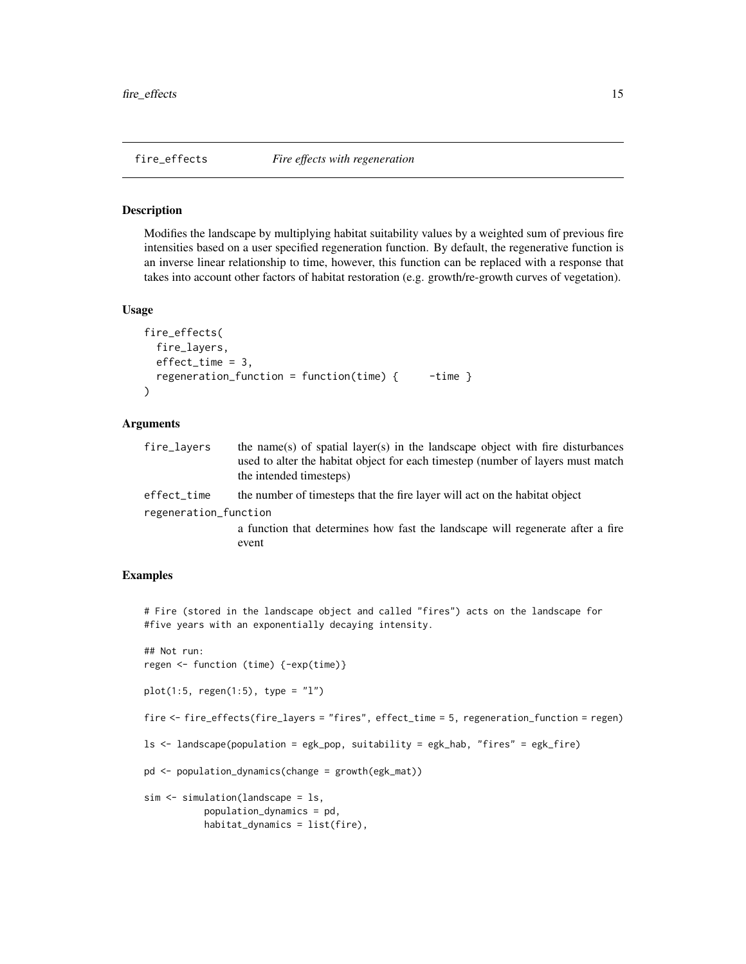<span id="page-14-1"></span><span id="page-14-0"></span>

#### **Description**

Modifies the landscape by multiplying habitat suitability values by a weighted sum of previous fire intensities based on a user specified regeneration function. By default, the regenerative function is an inverse linear relationship to time, however, this function can be replaced with a response that takes into account other factors of habitat restoration (e.g. growth/re-growth curves of vegetation).

#### Usage

```
fire_effects(
 fire_layers,
 effect_time = 3,
 regeneration_function = function(time) { - -time }
)
```
#### Arguments

| fire_lavers           | the name(s) of spatial layer(s) in the landscape object with fire disturbances<br>used to alter the habitat object for each timestep (number of layers must match<br>the intended timesteps) |
|-----------------------|----------------------------------------------------------------------------------------------------------------------------------------------------------------------------------------------|
| effect_time           | the number of timesteps that the fire layer will act on the habitat object                                                                                                                   |
| regeneration_function |                                                                                                                                                                                              |
|                       | a function that determines how fast the landscape will regenerate after a fire                                                                                                               |
|                       | event                                                                                                                                                                                        |

#### Examples

# Fire (stored in the landscape object and called "fires") acts on the landscape for #five years with an exponentially decaying intensity.

```
## Not run:
regen <- function (time) {-exp(time)}
plot(1:5, region(1:5), type = "1")fire <- fire_effects(fire_layers = "fires", effect_time = 5, regeneration_function = regen)
ls <- landscape(population = egk_pop, suitability = egk_hab, "fires" = egk_fire)
pd <- population_dynamics(change = growth(egk_mat))
sim <- simulation(landscape = ls,
           population_dynamics = pd,
           habitat_dynamics = list(fire),
```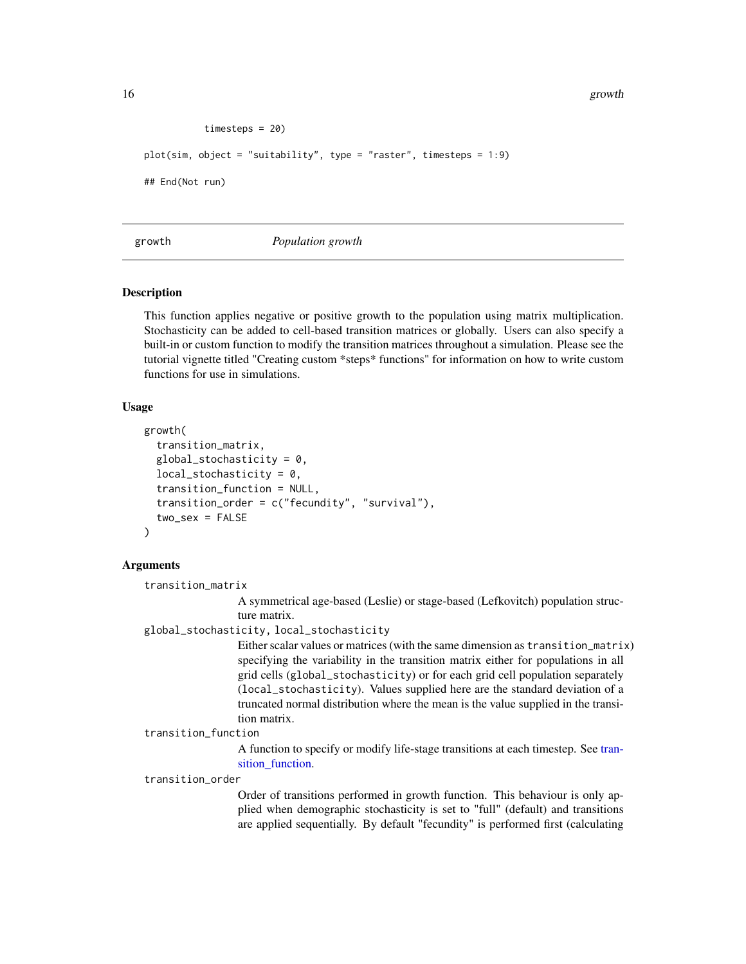<span id="page-15-0"></span>16 growth and the set of the set of the set of the set of the set of the set of the set of the set of the set of the set of the set of the set of the set of the set of the set of the set of the set of the set of the set of

```
timesteps = 20)
plot(sim, object = "suitability", type = "raster", timesteps = 1:9)
## End(Not run)
```
#### <span id="page-15-1"></span>growth *Population growth*

#### Description

This function applies negative or positive growth to the population using matrix multiplication. Stochasticity can be added to cell-based transition matrices or globally. Users can also specify a built-in or custom function to modify the transition matrices throughout a simulation. Please see the tutorial vignette titled "Creating custom \*steps\* functions" for information on how to write custom functions for use in simulations.

#### Usage

```
growth(
  transition_matrix,
  global_stochasticity = 0,
  local\_stochasticity = 0,
  transition_function = NULL,
  transition_order = c("fecundity", "survival"),
  two_sex = FALSE\lambda
```
#### Arguments

transition\_matrix

A symmetrical age-based (Leslie) or stage-based (Lefkovitch) population structure matrix.

global\_stochasticity, local\_stochasticity

Either scalar values or matrices (with the same dimension as transition\_matrix) specifying the variability in the transition matrix either for populations in all grid cells (global\_stochasticity) or for each grid cell population separately (local\_stochasticity). Values supplied here are the standard deviation of a truncated normal distribution where the mean is the value supplied in the transition matrix.

transition\_function

A function to specify or modify life-stage transitions at each timestep. See [tran](#page-28-1)[sition\\_function.](#page-28-1)

transition\_order

Order of transitions performed in growth function. This behaviour is only applied when demographic stochasticity is set to "full" (default) and transitions are applied sequentially. By default "fecundity" is performed first (calculating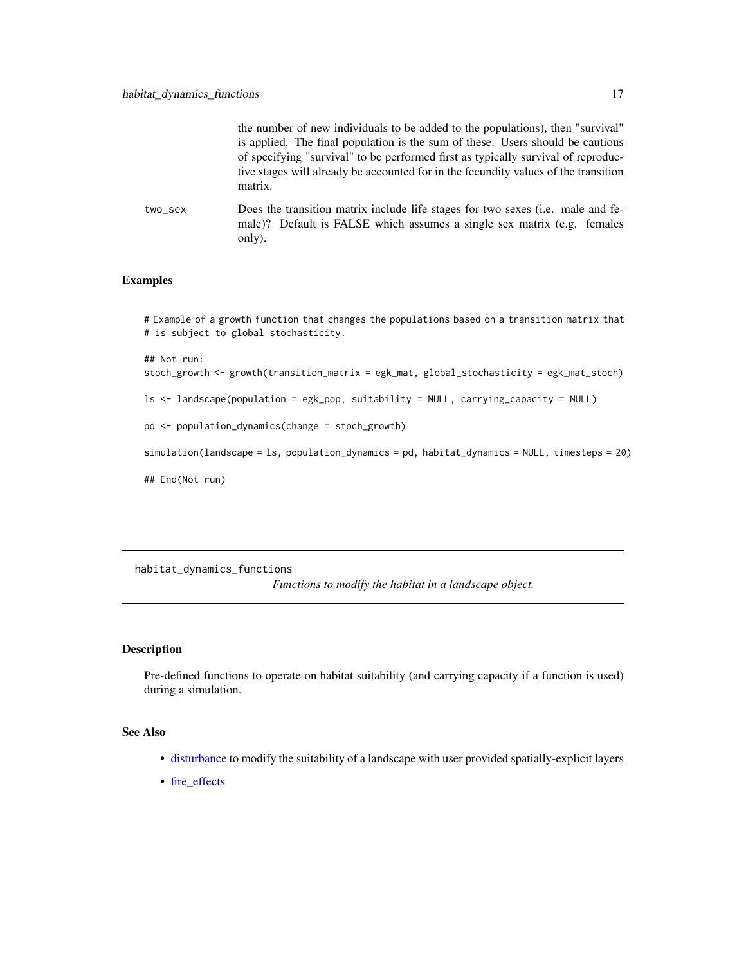<span id="page-16-0"></span>

|         | the number of new individuals to be added to the populations), then "survival"<br>is applied. The final population is the sum of these. Users should be cautious<br>of specifying "survival" to be performed first as typically survival of reproduc-<br>tive stages will already be accounted for in the fecundity values of the transition<br>matrix. |
|---------|---------------------------------------------------------------------------------------------------------------------------------------------------------------------------------------------------------------------------------------------------------------------------------------------------------------------------------------------------------|
| two_sex | Does the transition matrix include life stages for two sexes ( <i>i.e.</i> male and fe-<br>male)? Default is FALSE which assumes a single sex matrix (e.g. females<br>only).                                                                                                                                                                            |

#### Examples

# Example of a growth function that changes the populations based on a transition matrix that # is subject to global stochasticity.

```
## Not run:
stoch_growth <- growth(transition_matrix = egk_mat, global_stochasticity = egk_mat_stoch)
ls <- landscape(population = egk_pop, suitability = NULL, carrying_capacity = NULL)
```

```
pd <- population_dynamics(change = stoch_growth)
```

```
simulation(landscape = ls, population_dynamics = pd, habitat_dynamics = NULL, timesteps = 20)
```
## End(Not run)

<span id="page-16-1"></span>habitat\_dynamics\_functions

*Functions to modify the habitat in a landscape object.*

#### Description

Pre-defined functions to operate on habitat suitability (and carrying capacity if a function is used) during a simulation.

#### See Also

- [disturbance](#page-8-1) to modify the suitability of a landscape with user provided spatially-explicit layers
- [fire\\_effects](#page-14-1)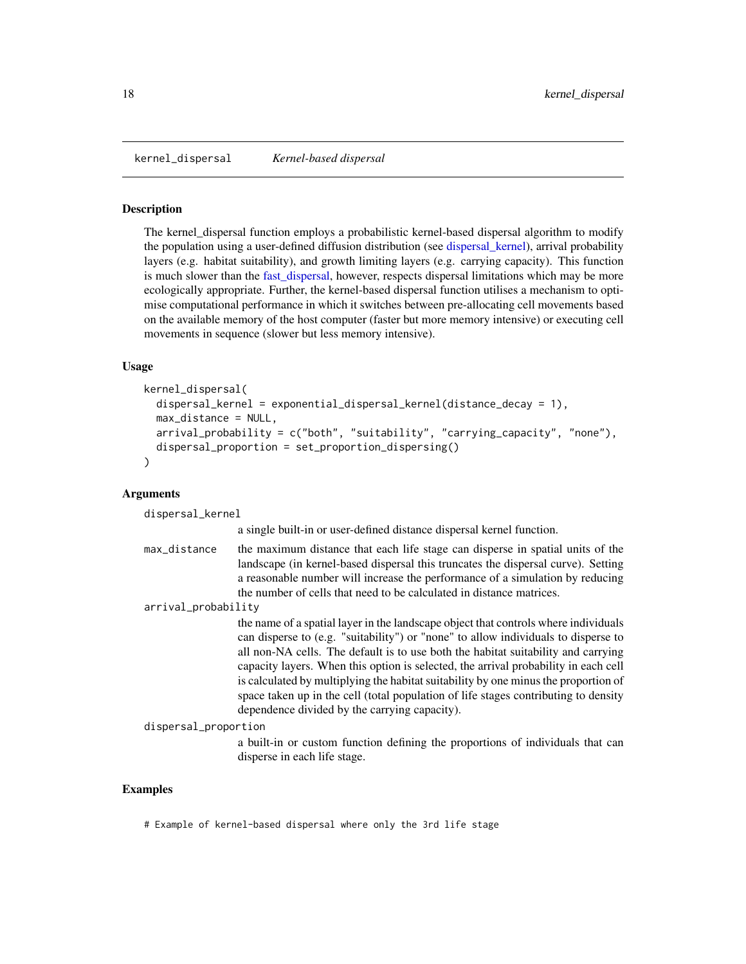<span id="page-17-1"></span><span id="page-17-0"></span>kernel\_dispersal *Kernel-based dispersal*

#### Description

The kernel\_dispersal function employs a probabilistic kernel-based dispersal algorithm to modify the population using a user-defined diffusion distribution (see [dispersal\\_kernel\)](#page-7-1), arrival probability layers (e.g. habitat suitability), and growth limiting layers (e.g. carrying capacity). This function is much slower than the [fast\\_dispersal,](#page-13-1) however, respects dispersal limitations which may be more ecologically appropriate. Further, the kernel-based dispersal function utilises a mechanism to optimise computational performance in which it switches between pre-allocating cell movements based on the available memory of the host computer (faster but more memory intensive) or executing cell movements in sequence (slower but less memory intensive).

#### Usage

```
kernel_dispersal(
  dispersal_kernel = exponential_dispersal_kernel(distance_decay = 1),
 max_distance = NULL,
  arrival_probability = c("both", "suitability", "carrying_capacity", "none"),
 dispersal_proportion = set_proportion_dispersing()
)
```
#### Arguments

dispersal\_kernel

a single built-in or user-defined distance dispersal kernel function.

| max distance | the maximum distance that each life stage can disperse in spatial units of the    |
|--------------|-----------------------------------------------------------------------------------|
|              | landscape (in kernel-based dispersal this truncates the dispersal curve). Setting |
|              | a reasonable number will increase the performance of a simulation by reducing     |
|              | the number of cells that need to be calculated in distance matrices.              |
|              |                                                                                   |

arrival\_probability

the name of a spatial layer in the landscape object that controls where individuals can disperse to (e.g. "suitability") or "none" to allow individuals to disperse to all non-NA cells. The default is to use both the habitat suitability and carrying capacity layers. When this option is selected, the arrival probability in each cell is calculated by multiplying the habitat suitability by one minus the proportion of space taken up in the cell (total population of life stages contributing to density dependence divided by the carrying capacity).

dispersal\_proportion

a built-in or custom function defining the proportions of individuals that can disperse in each life stage.

#### Examples

# Example of kernel-based dispersal where only the 3rd life stage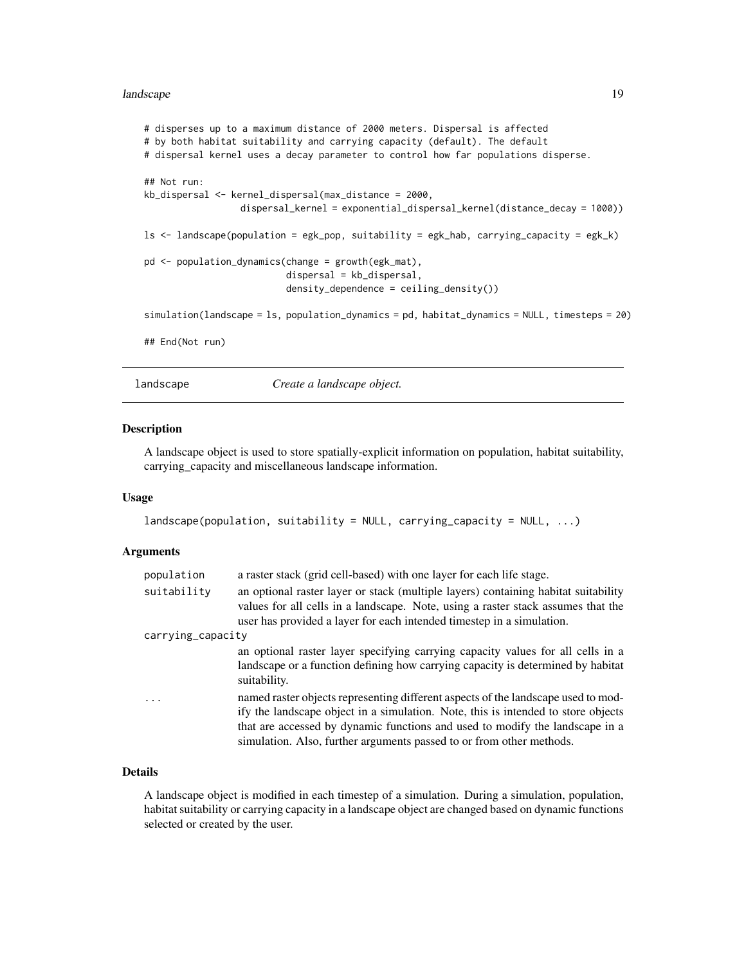#### <span id="page-18-0"></span>landscape and the state of the state of the state of the state of the state of the state of the state of the state of the state of the state of the state of the state of the state of the state of the state of the state of

```
# disperses up to a maximum distance of 2000 meters. Dispersal is affected
# by both habitat suitability and carrying capacity (default). The default
# dispersal kernel uses a decay parameter to control how far populations disperse.
## Not run:
kb_dispersal <- kernel_dispersal(max_distance = 2000,
                 dispersal_kernel = exponential_dispersal_kernel(distance_decay = 1000))
ls <- landscape(population = egk_pop, suitability = egk_hab, carrying_capacity = egk_k)
pd <- population_dynamics(change = growth(egk_mat),
                          dispersal = kb_dispersal,
                          density_dependence = ceiling_density())
simulation(landscape = ls, population_dynamics = pd, habitat_dynamics = NULL, timesteps = 20)
## End(Not run)
```
<span id="page-18-1"></span>landscape *Create a landscape object.*

#### Description

A landscape object is used to store spatially-explicit information on population, habitat suitability, carrying\_capacity and miscellaneous landscape information.

#### Usage

```
landscape(population, suitability = NULL, carrying_capacity = NULL, ...)
```
#### Arguments

| population        | a raster stack (grid cell-based) with one layer for each life stage.                                                                                                                                                                                                                                                           |
|-------------------|--------------------------------------------------------------------------------------------------------------------------------------------------------------------------------------------------------------------------------------------------------------------------------------------------------------------------------|
| suitability       | an optional raster layer or stack (multiple layers) containing habitat suitability<br>values for all cells in a landscape. Note, using a raster stack assumes that the<br>user has provided a layer for each intended timestep in a simulation.                                                                                |
| carrying_capacity |                                                                                                                                                                                                                                                                                                                                |
|                   | an optional raster layer specifying carrying capacity values for all cells in a<br>landscape or a function defining how carrying capacity is determined by habitat<br>suitability.                                                                                                                                             |
| $\ddots$ .        | named raster objects representing different aspects of the landscape used to mod-<br>ify the landscape object in a simulation. Note, this is intended to store objects<br>that are accessed by dynamic functions and used to modify the landscape in a<br>simulation. Also, further arguments passed to or from other methods. |

#### Details

A landscape object is modified in each timestep of a simulation. During a simulation, population, habitat suitability or carrying capacity in a landscape object are changed based on dynamic functions selected or created by the user.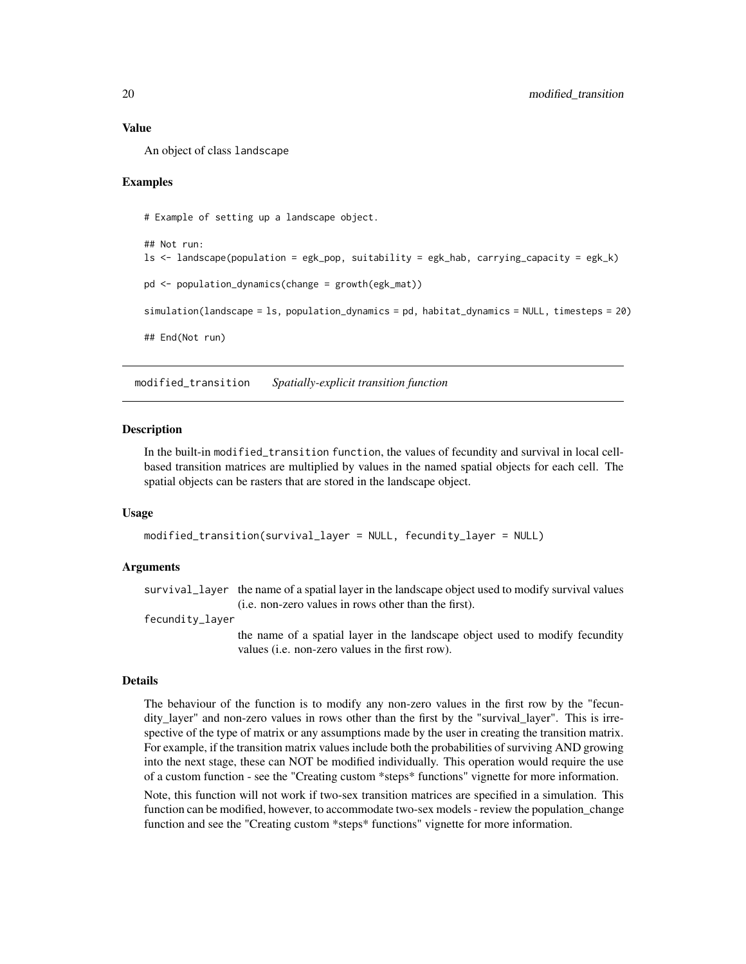#### Value

An object of class landscape

#### Examples

# Example of setting up a landscape object. ## Not run: ls  $\le$  landscape(population = egk\_pop, suitability = egk\_hab, carrying\_capacity = egk\_k) pd <- population\_dynamics(change = growth(egk\_mat)) simulation(landscape = ls, population\_dynamics = pd, habitat\_dynamics = NULL, timesteps = 20) ## End(Not run)

<span id="page-19-1"></span>modified\_transition *Spatially-explicit transition function*

#### **Description**

In the built-in modified\_transition function, the values of fecundity and survival in local cellbased transition matrices are multiplied by values in the named spatial objects for each cell. The spatial objects can be rasters that are stored in the landscape object.

#### Usage

```
modified_transition(survival_layer = NULL, fecundity_layer = NULL)
```
#### Arguments

survival\_layer the name of a spatial layer in the landscape object used to modify survival values (i.e. non-zero values in rows other than the first).

fecundity\_layer

the name of a spatial layer in the landscape object used to modify fecundity values (i.e. non-zero values in the first row).

#### Details

The behaviour of the function is to modify any non-zero values in the first row by the "fecundity\_layer" and non-zero values in rows other than the first by the "survival\_layer". This is irrespective of the type of matrix or any assumptions made by the user in creating the transition matrix. For example, if the transition matrix values include both the probabilities of surviving AND growing into the next stage, these can NOT be modified individually. This operation would require the use of a custom function - see the "Creating custom \*steps\* functions" vignette for more information.

Note, this function will not work if two-sex transition matrices are specified in a simulation. This function can be modified, however, to accommodate two-sex models - review the population\_change function and see the "Creating custom \*steps\* functions" vignette for more information.

<span id="page-19-0"></span>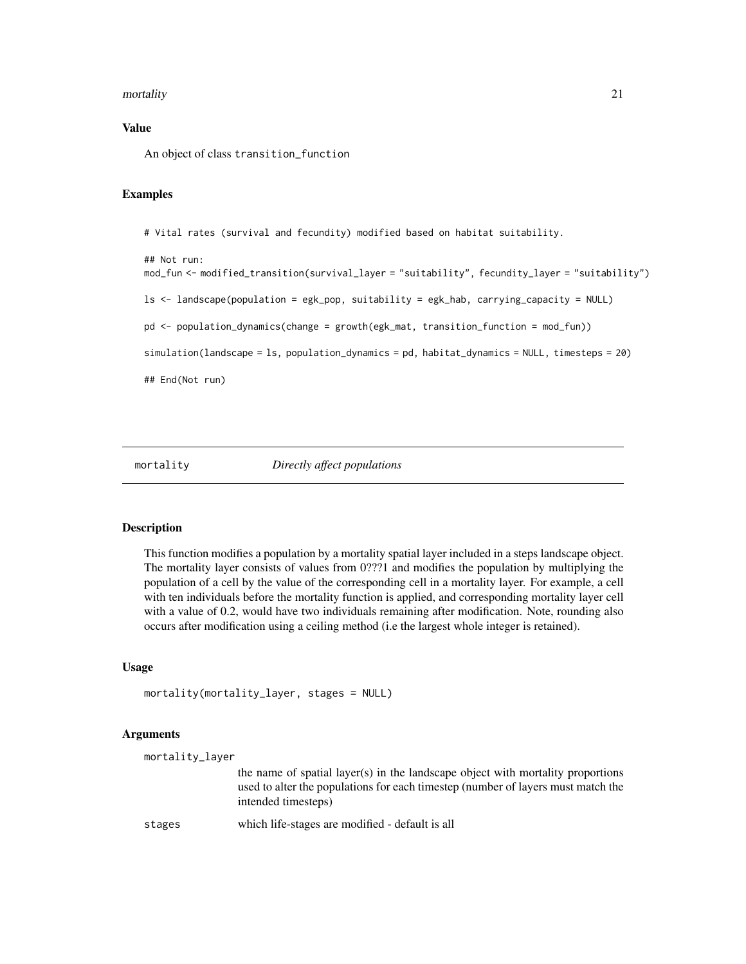#### <span id="page-20-0"></span>mortality 21

#### Value

An object of class transition\_function

#### Examples

# Vital rates (survival and fecundity) modified based on habitat suitability.

```
## Not run:
mod_fun <- modified_transition(survival_layer = "suitability", fecundity_layer = "suitability")
ls <- landscape(population = egk_pop, suitability = egk_hab, carrying_capacity = NULL)
pd <- population_dynamics(change = growth(egk_mat, transition_function = mod_fun))
simulation(landscape = ls, population_dynamics = pd, habitat_dynamics = NULL, timesteps = 20)
## End(Not run)
```
<span id="page-20-1"></span>mortality *Directly affect populations*

#### Description

This function modifies a population by a mortality spatial layer included in a steps landscape object. The mortality layer consists of values from 0???1 and modifies the population by multiplying the population of a cell by the value of the corresponding cell in a mortality layer. For example, a cell with ten individuals before the mortality function is applied, and corresponding mortality layer cell with a value of 0.2, would have two individuals remaining after modification. Note, rounding also occurs after modification using a ceiling method (i.e the largest whole integer is retained).

#### Usage

```
mortality(mortality_layer, stages = NULL)
```
#### Arguments

| mortality_layer |                                                                                                                                                                                            |
|-----------------|--------------------------------------------------------------------------------------------------------------------------------------------------------------------------------------------|
|                 | the name of spatial layer(s) in the landscape object with mortality proportions<br>used to alter the populations for each timestep (number of layers must match the<br>intended timesteps) |
| stages          | which life-stages are modified - default is all                                                                                                                                            |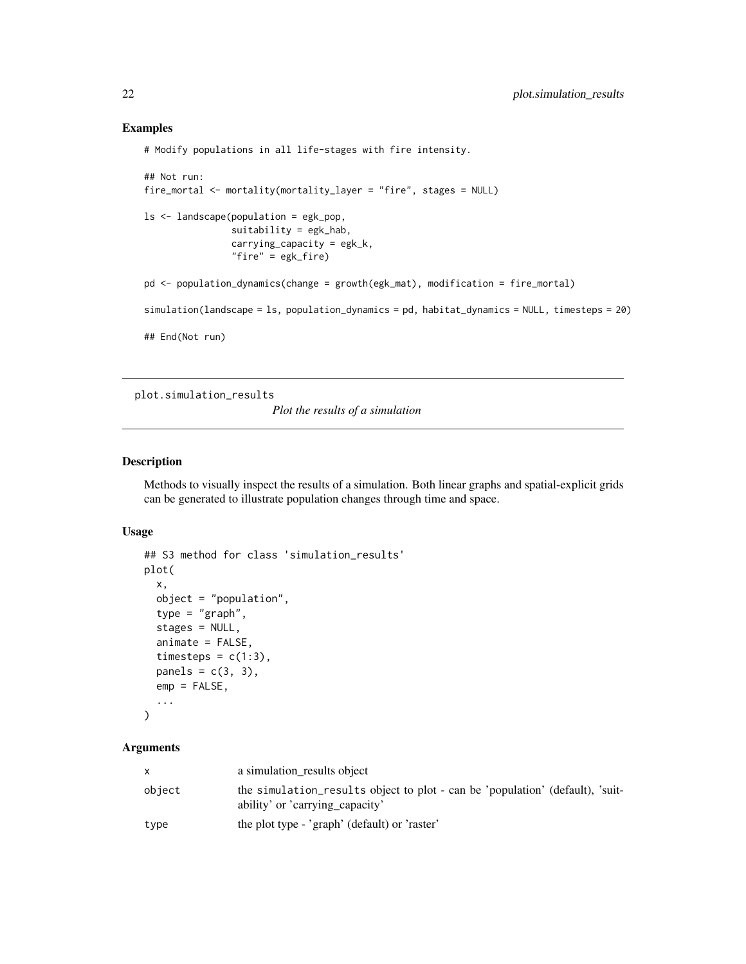#### Examples

```
# Modify populations in all life-stages with fire intensity.
## Not run:
fire_mortal <- mortality(mortality_layer = "fire", stages = NULL)
ls <- landscape(population = egk_pop,
                suitability = egk_hab,
                carrying_capacity = egk_k,
                "fire" = egk_fire)
pd <- population_dynamics(change = growth(egk_mat), modification = fire_mortal)
simulation(landscape = ls, population_dynamics = pd, habitat_dynamics = NULL, timesteps = 20)
## End(Not run)
```
plot.simulation\_results

*Plot the results of a simulation*

#### Description

Methods to visually inspect the results of a simulation. Both linear graphs and spatial-explicit grids can be generated to illustrate population changes through time and space.

#### Usage

```
## S3 method for class 'simulation_results'
plot(
  x,
 object = "population",
  type = "graph",stages = NULL,
  animate = FALSE,
  timesteps = c(1:3),
 panels = c(3, 3),
  emp = FALSE,...
)
```
#### Arguments

|        | a simulation results object                                                                                      |
|--------|------------------------------------------------------------------------------------------------------------------|
| object | the simulation_results object to plot - can be 'population' (default), 'suit-<br>ability' or 'carrying_capacity' |
| type   | the plot type - 'graph' (default) or 'raster'                                                                    |

<span id="page-21-0"></span>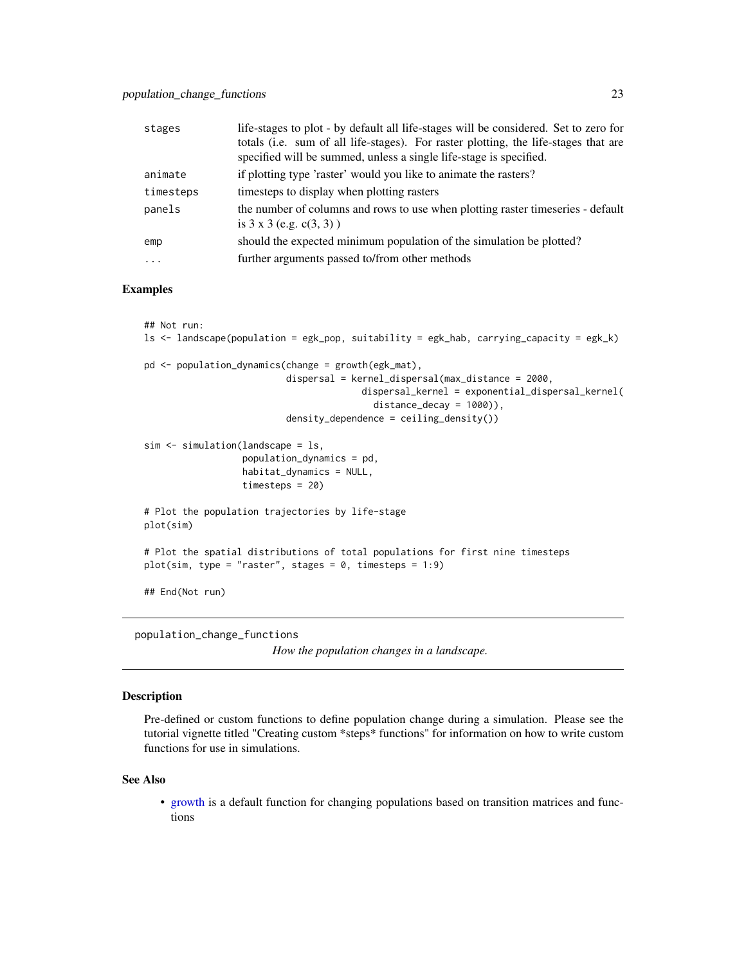<span id="page-22-0"></span>

| stages    | life-stages to plot - by default all life-stages will be considered. Set to zero for<br>totals (i.e. sum of all life-stages). For raster plotting, the life-stages that are<br>specified will be summed, unless a single life-stage is specified. |
|-----------|---------------------------------------------------------------------------------------------------------------------------------------------------------------------------------------------------------------------------------------------------|
| animate   | if plotting type 'raster' would you like to animate the rasters?                                                                                                                                                                                  |
| timesteps | timesteps to display when plotting rasters                                                                                                                                                                                                        |
| panels    | the number of columns and rows to use when plotting raster timeseries - default<br>is $3 \times 3$ (e.g. c(3, 3))                                                                                                                                 |
| emp       | should the expected minimum population of the simulation be plotted?                                                                                                                                                                              |
| $\cdots$  | further arguments passed to/from other methods                                                                                                                                                                                                    |

#### Examples

```
## Not run:
ls \le landscape(population = egk_pop, suitability = egk_hab, carrying_capacity = egk_k)
pd <- population_dynamics(change = growth(egk_mat),
                          dispersal = kernel_dispersal(max_distance = 2000,
                                        dispersal_kernel = exponential_dispersal_kernel(
                                          distance_decay = 1000)),
                          density_dependence = ceiling_density())
sim <- simulation(landscape = ls,
                  population_dynamics = pd,
                  habitat_dynamics = NULL,
                  timesteps = 20)
# Plot the population trajectories by life-stage
plot(sim)
# Plot the spatial distributions of total populations for first nine timesteps
plot(sim, type = "raster", stages = 0, timesteps = 1:9)
## End(Not run)
```
<span id="page-22-1"></span>population\_change\_functions

```
How the population changes in a landscape.
```
#### Description

Pre-defined or custom functions to define population change during a simulation. Please see the tutorial vignette titled "Creating custom \*steps\* functions" for information on how to write custom functions for use in simulations.

#### See Also

• [growth](#page-15-1) is a default function for changing populations based on transition matrices and functions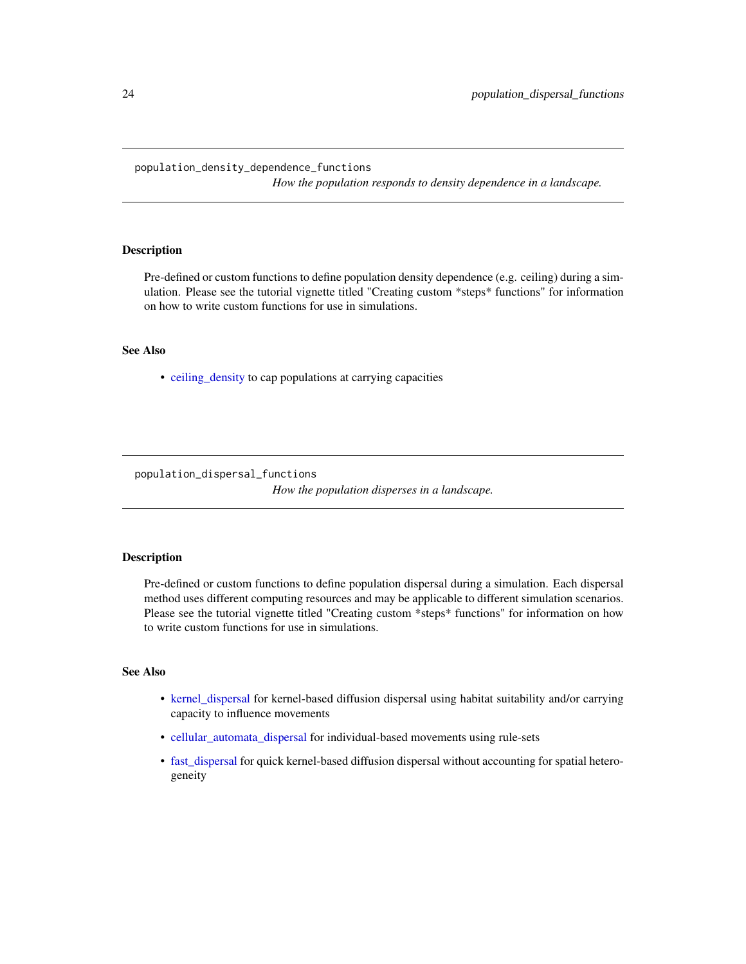<span id="page-23-1"></span><span id="page-23-0"></span>population\_density\_dependence\_functions

*How the population responds to density dependence in a landscape.*

#### **Description**

Pre-defined or custom functions to define population density dependence (e.g. ceiling) during a simulation. Please see the tutorial vignette titled "Creating custom \*steps\* functions" for information on how to write custom functions for use in simulations.

#### See Also

• [ceiling\\_density](#page-1-1) to cap populations at carrying capacities

<span id="page-23-2"></span>population\_dispersal\_functions

*How the population disperses in a landscape.*

#### Description

Pre-defined or custom functions to define population dispersal during a simulation. Each dispersal method uses different computing resources and may be applicable to different simulation scenarios. Please see the tutorial vignette titled "Creating custom \*steps\* functions" for information on how to write custom functions for use in simulations.

#### See Also

- [kernel\\_dispersal](#page-17-1) for kernel-based diffusion dispersal using habitat suitability and/or carrying capacity to influence movements
- [cellular\\_automata\\_dispersal](#page-2-1) for individual-based movements using rule-sets
- [fast\\_dispersal](#page-13-1) for quick kernel-based diffusion dispersal without accounting for spatial heterogeneity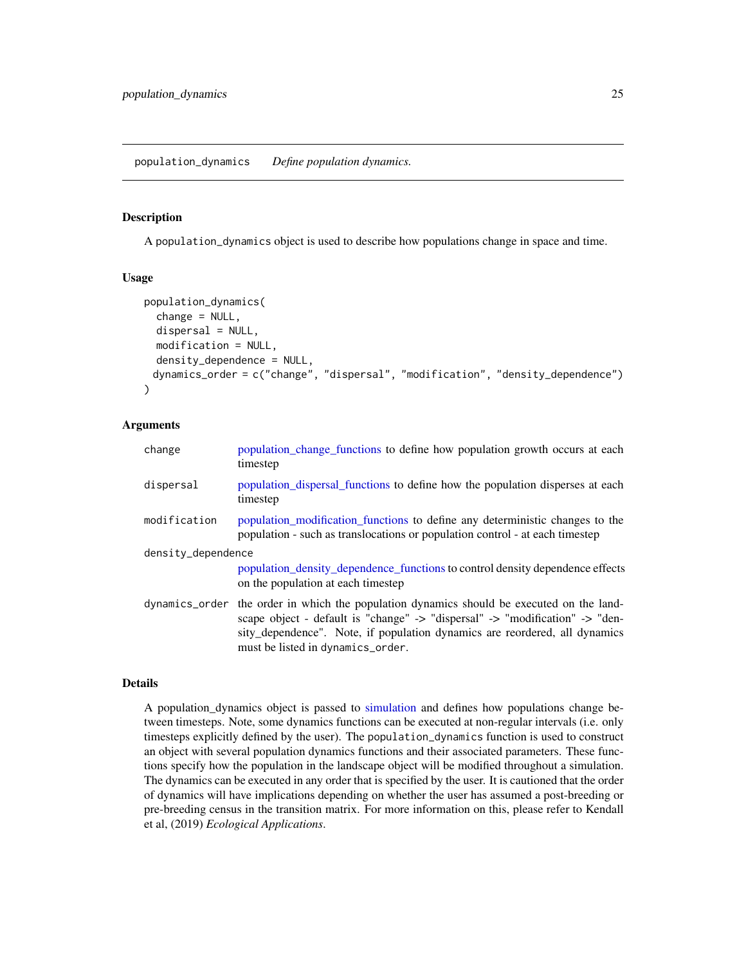#### <span id="page-24-1"></span><span id="page-24-0"></span>Description

A population\_dynamics object is used to describe how populations change in space and time.

#### Usage

```
population_dynamics(
  change = NULL,
  dispersal = NULL,
 modification = NULL,
  density_dependence = NULL,
 dynamics_order = c("change", "dispersal", "modification", "density_dependence")
)
```
#### Arguments

| change             | population_change_functions to define how population growth occurs at each<br>timestep                                                                                                                                                                                                       |
|--------------------|----------------------------------------------------------------------------------------------------------------------------------------------------------------------------------------------------------------------------------------------------------------------------------------------|
| dispersal          | population_dispersal_functions to define how the population disperses at each<br>timestep                                                                                                                                                                                                    |
| modification       | population modification functions to define any deterministic changes to the<br>population - such as translocations or population control - at each timestep                                                                                                                                 |
| density_dependence |                                                                                                                                                                                                                                                                                              |
|                    | population_density_dependence_functions to control density dependence effects<br>on the population at each timestep                                                                                                                                                                          |
|                    | dynamics_order the order in which the population dynamics should be executed on the land-<br>scape object - default is "change" -> "dispersal" -> "modification" -> "den-<br>sity_dependence". Note, if population dynamics are reordered, all dynamics<br>must be listed in dynamics_order. |

#### Details

A population\_dynamics object is passed to [simulation](#page-26-1) and defines how populations change between timesteps. Note, some dynamics functions can be executed at non-regular intervals (i.e. only timesteps explicitly defined by the user). The population\_dynamics function is used to construct an object with several population dynamics functions and their associated parameters. These functions specify how the population in the landscape object will be modified throughout a simulation. The dynamics can be executed in any order that is specified by the user. It is cautioned that the order of dynamics will have implications depending on whether the user has assumed a post-breeding or pre-breeding census in the transition matrix. For more information on this, please refer to Kendall et al, (2019) *Ecological Applications*.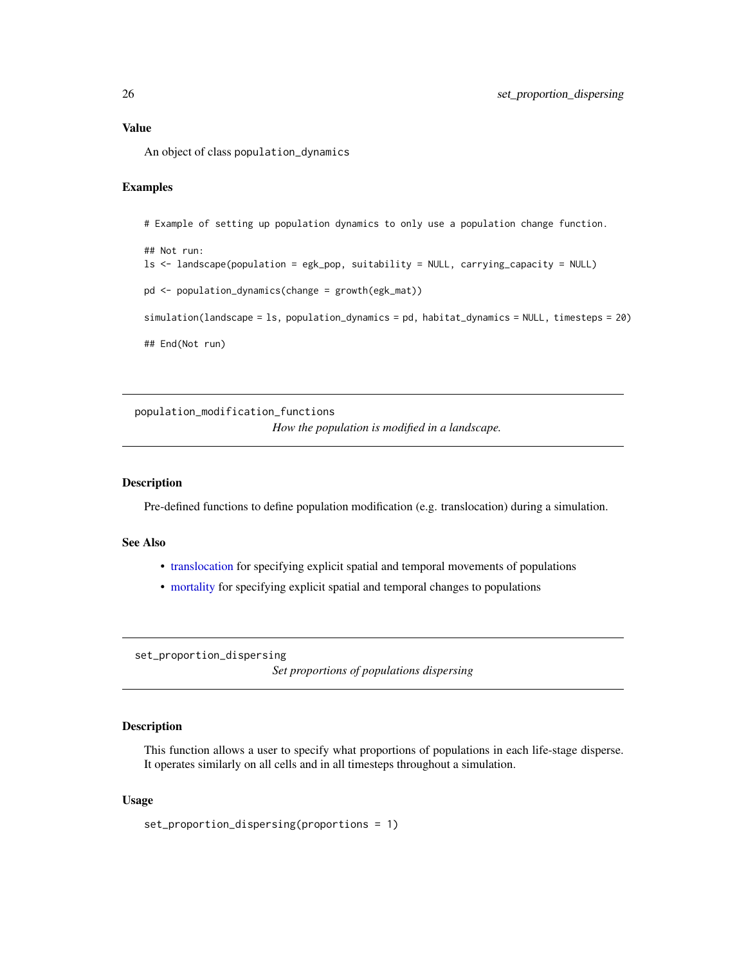#### <span id="page-25-0"></span>Value

An object of class population\_dynamics

### Examples

# Example of setting up population dynamics to only use a population change function.

```
## Not run:
ls <- landscape(population = egk_pop, suitability = NULL, carrying_capacity = NULL)
pd <- population_dynamics(change = growth(egk_mat))
simulation(landscape = ls, population_dynamics = pd, habitat_dynamics = NULL, timesteps = 20)
## End(Not run)
```
<span id="page-25-2"></span>population\_modification\_functions *How the population is modified in a landscape.*

#### Description

Pre-defined functions to define population modification (e.g. translocation) during a simulation.

#### See Also

- [translocation](#page-28-2) for specifying explicit spatial and temporal movements of populations
- [mortality](#page-20-1) for specifying explicit spatial and temporal changes to populations

<span id="page-25-1"></span>set\_proportion\_dispersing *Set proportions of populations dispersing*

#### Description

This function allows a user to specify what proportions of populations in each life-stage disperse. It operates similarly on all cells and in all timesteps throughout a simulation.

#### Usage

set\_proportion\_dispersing(proportions = 1)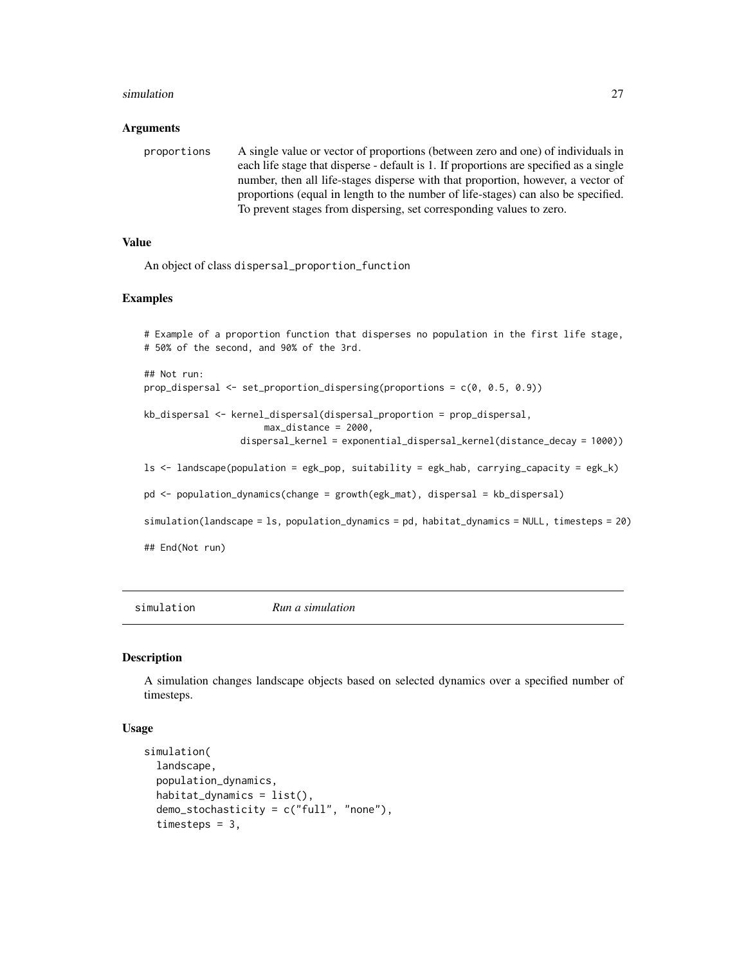#### <span id="page-26-0"></span>simulation 27

#### Arguments

proportions A single value or vector of proportions (between zero and one) of individuals in each life stage that disperse - default is 1. If proportions are specified as a single number, then all life-stages disperse with that proportion, however, a vector of proportions (equal in length to the number of life-stages) can also be specified. To prevent stages from dispersing, set corresponding values to zero.

#### Value

An object of class dispersal\_proportion\_function

#### Examples

```
# Example of a proportion function that disperses no population in the first life stage,
# 50% of the second, and 90% of the 3rd.
## Not run:
prop_dispersal <- set_proportion_dispersing(proportions = c(0, 0.5, 0.9))
kb_dispersal <- kernel_dispersal(dispersal_proportion = prop_dispersal,
                      max_distance = 2000,
                 dispersal_kernel = exponential_dispersal_kernel(distance_decay = 1000))
ls <- landscape(population = egk_pop, suitability = egk_hab, carrying_capacity = egk_k)
pd <- population_dynamics(change = growth(egk_mat), dispersal = kb_dispersal)
simulation(landscape = ls, population_dynamics = pd, habitat_dynamics = NULL, timesteps = 20)
## End(Not run)
```
<span id="page-26-1"></span>simulation *Run a simulation*

#### Description

A simulation changes landscape objects based on selected dynamics over a specified number of timesteps.

#### Usage

```
simulation(
  landscape,
  population_dynamics,
  habitat_dynamics = list(),
  demo_stochasticity = c("full", "none"),
  timesteps = 3,
```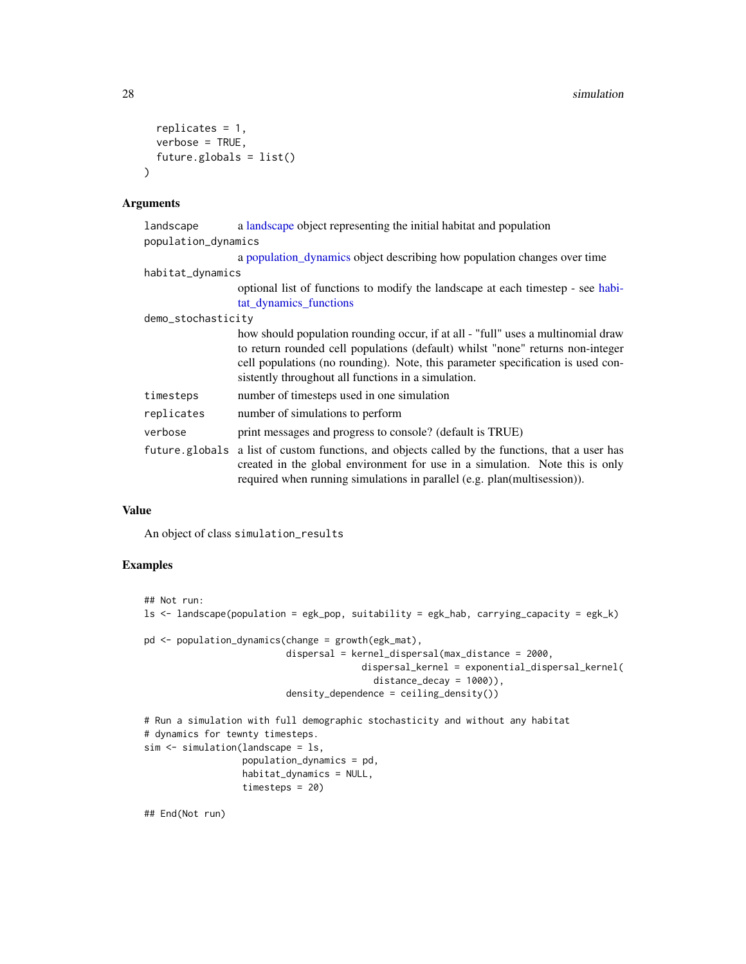```
replicates = 1,
  verbose = TRUE,
  future.globals = list()\lambda
```
#### Arguments

| landscape           | a landscape object representing the initial habitat and population                                                                                                                                                                                                                                           |
|---------------------|--------------------------------------------------------------------------------------------------------------------------------------------------------------------------------------------------------------------------------------------------------------------------------------------------------------|
| population_dynamics |                                                                                                                                                                                                                                                                                                              |
|                     | a population_dynamics object describing how population changes over time                                                                                                                                                                                                                                     |
| habitat_dynamics    |                                                                                                                                                                                                                                                                                                              |
|                     | optional list of functions to modify the landscape at each timestep - see habi-<br>tat_dynamics_functions                                                                                                                                                                                                    |
| demo_stochasticity  |                                                                                                                                                                                                                                                                                                              |
|                     | how should population rounding occur, if at all - "full" uses a multinomial draw<br>to return rounded cell populations (default) whilst "none" returns non-integer<br>cell populations (no rounding). Note, this parameter specification is used con-<br>sistently throughout all functions in a simulation. |
| timesteps           | number of timesteps used in one simulation                                                                                                                                                                                                                                                                   |
| replicates          | number of simulations to perform                                                                                                                                                                                                                                                                             |
| verbose             | print messages and progress to console? (default is TRUE)                                                                                                                                                                                                                                                    |
|                     | future globals a list of custom functions, and objects called by the functions, that a user has<br>created in the global environment for use in a simulation. Note this is only<br>required when running simulations in parallel (e.g. plan(multisession)).                                                  |

#### Value

An object of class simulation\_results

#### Examples

```
## Not run:
ls <- landscape(population = egk_pop, suitability = egk_hab, carrying_capacity = egk_k)
pd <- population_dynamics(change = growth(egk_mat),
                          dispersal = kernel_dispersal(max_distance = 2000,
                                        dispersal_kernel = exponential_dispersal_kernel(
                                          distance_decay = 1000)),
                          density_dependence = ceiling_density())
# Run a simulation with full demographic stochasticity and without any habitat
# dynamics for tewnty timesteps.
sim <- simulation(landscape = ls,
                  population_dynamics = pd,
                  habitat_dynamics = NULL,
                  timesteps = 20)
```
## End(Not run)

<span id="page-27-0"></span>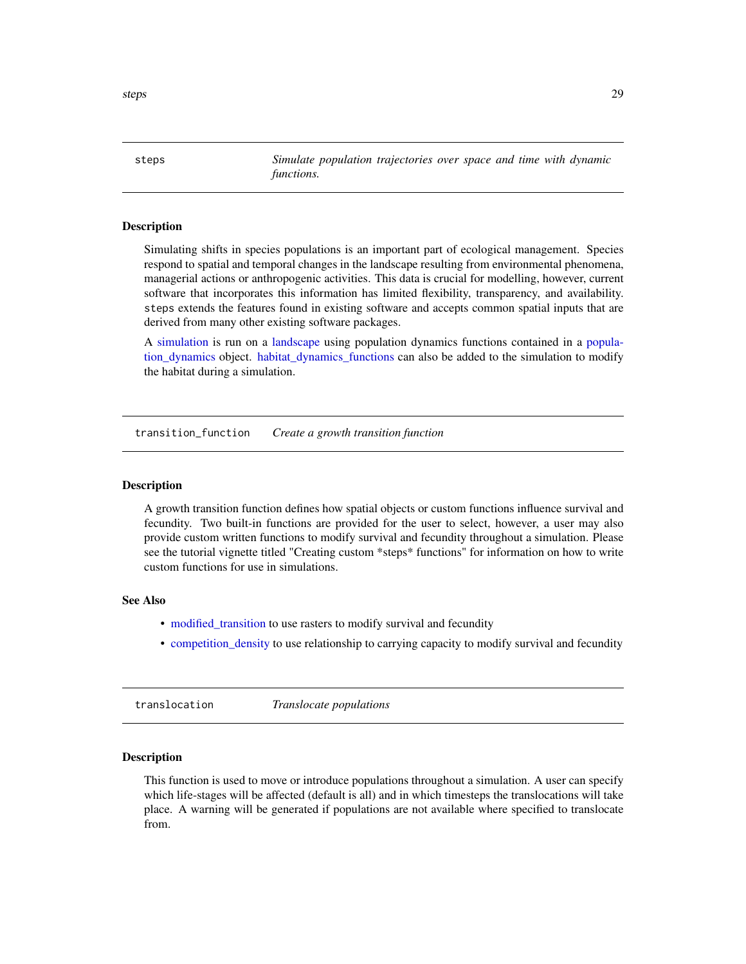<span id="page-28-0"></span>steps *Simulate population trajectories over space and time with dynamic functions.*

#### Description

Simulating shifts in species populations is an important part of ecological management. Species respond to spatial and temporal changes in the landscape resulting from environmental phenomena, managerial actions or anthropogenic activities. This data is crucial for modelling, however, current software that incorporates this information has limited flexibility, transparency, and availability. steps extends the features found in existing software and accepts common spatial inputs that are derived from many other existing software packages.

A [simulation](#page-26-1) is run on a [landscape](#page-18-1) using population dynamics functions contained in a [popula](#page-24-1)tion dynamics object. habitat dynamics functions can also be added to the simulation to modify the habitat during a simulation.

<span id="page-28-1"></span>transition\_function *Create a growth transition function*

#### **Description**

A growth transition function defines how spatial objects or custom functions influence survival and fecundity. Two built-in functions are provided for the user to select, however, a user may also provide custom written functions to modify survival and fecundity throughout a simulation. Please see the tutorial vignette titled "Creating custom \*steps\* functions" for information on how to write custom functions for use in simulations.

#### See Also

- [modified\\_transition](#page-19-1) to use rasters to modify survival and fecundity
- [competition\\_density](#page-5-1) to use relationship to carrying capacity to modify survival and fecundity

<span id="page-28-2"></span>

| translocation | Translocate populations |  |
|---------------|-------------------------|--|
|---------------|-------------------------|--|

#### Description

This function is used to move or introduce populations throughout a simulation. A user can specify which life-stages will be affected (default is all) and in which timesteps the translocations will take place. A warning will be generated if populations are not available where specified to translocate from.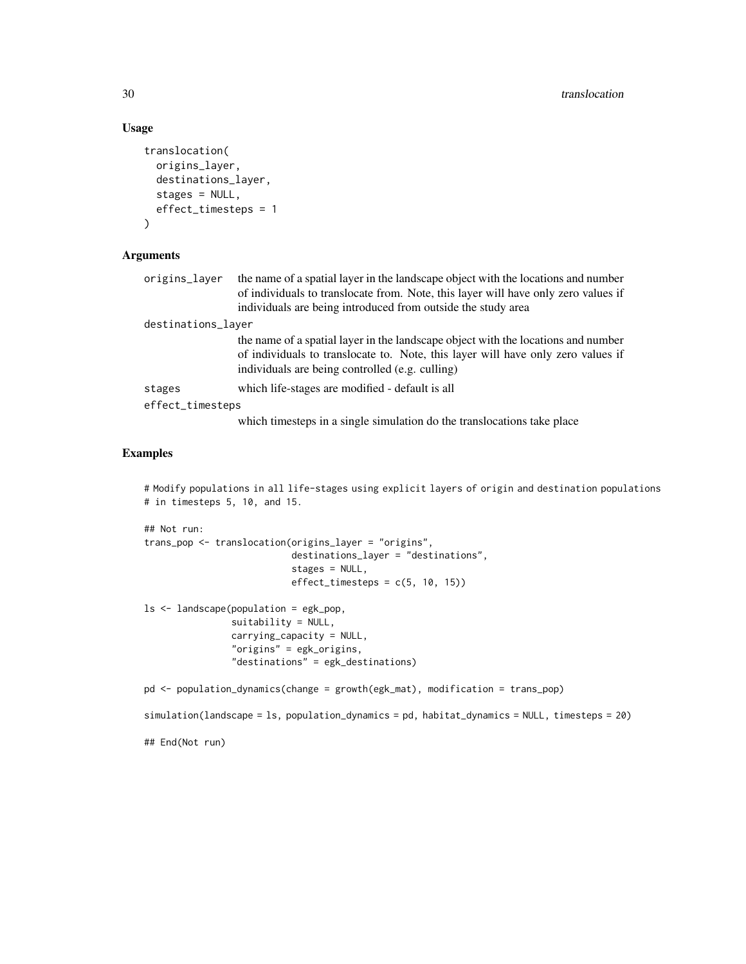#### Usage

```
translocation(
  origins_layer,
  destinations_layer,
  stages = NULL,
  effect_timesteps = 1
\mathcal{L}
```
#### Arguments

| origins_layer      | the name of a spatial layer in the landscape object with the locations and number<br>of individuals to translocate from. Note, this layer will have only zero values if<br>individuals are being introduced from outside the study area |
|--------------------|-----------------------------------------------------------------------------------------------------------------------------------------------------------------------------------------------------------------------------------------|
| destinations_layer |                                                                                                                                                                                                                                         |
|                    | the name of a spatial layer in the landscape object with the locations and number<br>of individuals to translocate to. Note, this layer will have only zero values if<br>individuals are being controlled (e.g. culling)                |
| stages             | which life-stages are modified - default is all                                                                                                                                                                                         |
| effect_timesteps   |                                                                                                                                                                                                                                         |
|                    | which timesteps in a single simulation do the translocations take place                                                                                                                                                                 |

#### Examples

# Modify populations in all life-stages using explicit layers of origin and destination populations # in timesteps 5, 10, and 15.

```
## Not run:
trans_pop <- translocation(origins_layer = "origins",
                           destinations_layer = "destinations",
                           stages = NULL,
                           effect_timesteps = c(5, 10, 15))
ls <- landscape(population = egk_pop,
                suitability = NULL,
                carrying_capacity = NULL,
                "origins" = egk_origins,
                "destinations" = egk_destinations)
pd <- population_dynamics(change = growth(egk_mat), modification = trans_pop)
simulation(landscape = ls, population_dynamics = pd, habitat_dynamics = NULL, timesteps = 20)
## End(Not run)
```